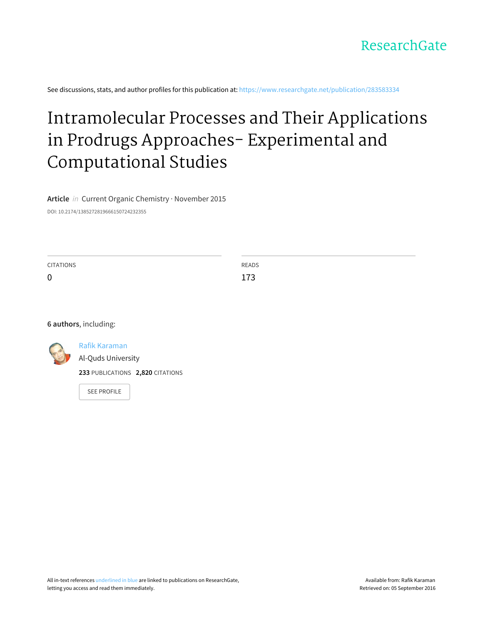

See discussions, stats, and author profiles for this publication at: [https://www.researchgate.net/publication/283583334](https://www.researchgate.net/publication/283583334_Intramolecular_Processes_and_Their_Applications_in_Prodrugs_Approaches-_Experimental_and_Computational_Studies?enrichId=rgreq-9a84afeb262c73fbc4d15da8f0192f93-XXX&enrichSource=Y292ZXJQYWdlOzI4MzU4MzMzNDtBUzoyOTU3MTU3NzIzNTQ1NzdAMTQ0NzUxNTU0Mjc4Nw%3D%3D&el=1_x_2)

# Intramolecular Processes and Their Applications in Prodrugs Approaches- Experimental and [Computational](https://www.researchgate.net/publication/283583334_Intramolecular_Processes_and_Their_Applications_in_Prodrugs_Approaches-_Experimental_and_Computational_Studies?enrichId=rgreq-9a84afeb262c73fbc4d15da8f0192f93-XXX&enrichSource=Y292ZXJQYWdlOzI4MzU4MzMzNDtBUzoyOTU3MTU3NzIzNTQ1NzdAMTQ0NzUxNTU0Mjc4Nw%3D%3D&el=1_x_3) Studies

**Article** in Current Organic Chemistry · November 2015

DOI: 10.2174/1385272819666150724232355

| <b>CITATIONS</b> | READS |
|------------------|-------|
| $\mathbf 0$      | 173   |

### **6 authors**, including:



#### Rafik [Karaman](https://www.researchgate.net/profile/Rafik_Karaman?enrichId=rgreq-9a84afeb262c73fbc4d15da8f0192f93-XXX&enrichSource=Y292ZXJQYWdlOzI4MzU4MzMzNDtBUzoyOTU3MTU3NzIzNTQ1NzdAMTQ0NzUxNTU0Mjc4Nw%3D%3D&el=1_x_5)

Al-Quds [University](https://www.researchgate.net/institution/Al-Quds_University?enrichId=rgreq-9a84afeb262c73fbc4d15da8f0192f93-XXX&enrichSource=Y292ZXJQYWdlOzI4MzU4MzMzNDtBUzoyOTU3MTU3NzIzNTQ1NzdAMTQ0NzUxNTU0Mjc4Nw%3D%3D&el=1_x_6)

**233** PUBLICATIONS **2,820** CITATIONS

SEE [PROFILE](https://www.researchgate.net/profile/Rafik_Karaman?enrichId=rgreq-9a84afeb262c73fbc4d15da8f0192f93-XXX&enrichSource=Y292ZXJQYWdlOzI4MzU4MzMzNDtBUzoyOTU3MTU3NzIzNTQ1NzdAMTQ0NzUxNTU0Mjc4Nw%3D%3D&el=1_x_7)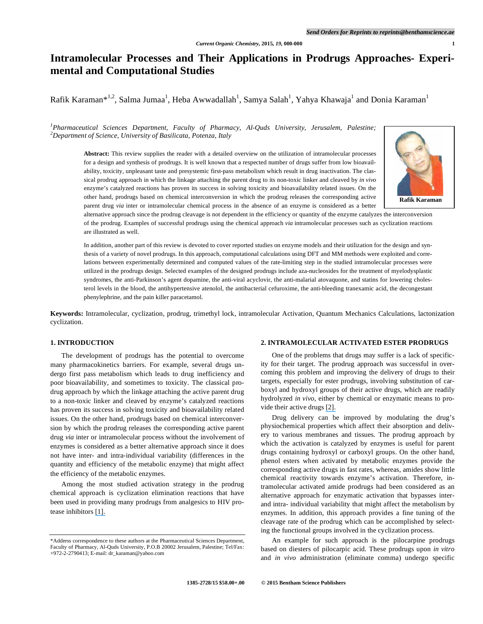## **Intramolecular Processes and Their Applications in Prodrugs Approaches- Experimental and Computational Studies**

Rafik Karaman $^{*1,2}$ , Salma Jumaa $^{1}$ , Heba Awwadallah $^{1}$ , Samya Salah $^{1}$ , Yahya Khawaja $^{1}$  and Donia Karaman $^{1}$ 

#### *1 Pharmaceutical Sciences Department, Faculty of Pharmacy, Al-Quds University, Jerusalem, Palestine; 2 Department of Science, University of Basilicata, Potenza, Italy*

**Abstract:** This review supplies the reader with a detailed overview on the utilization of intramolecular processes for a design and synthesis of prodrugs. It is well known that a respected number of drugs suffer from low bioavailability, toxicity, unpleasant taste and presystemic first-pass metabolism which result in drug inactivation. The classical prodrug approach in which the linkage attaching the parent drug to its non-toxic linker and cleaved by *in vivo* enzyme's catalyzed reactions has proven its success in solving toxicity and bioavailability related issues. On the other hand, prodrugs based on chemical interconversion in which the prodrug releases the corresponding active parent drug *via* inter or intramolecular chemical process in the absence of an enzyme is considered as a better



alternative approach since the prodrug cleavage is not dependent in the efficiency or quantity of the enzyme catalyzes the interconversion of the prodrug. Examples of successful prodrugs using the chemical approach *via* intramolecular processes such as cyclization reactions are illustrated as well.

In addition, another part of this review is devoted to cover reported studies on enzyme models and their utilization for the design and synthesis of a variety of novel prodrugs. In this approach, computational calculations using DFT and MM methods were exploited and correlations between experimentally determined and computed values of the rate-limiting step in the studied intramolecular processes were utilized in the prodrugs design. Selected examples of the designed prodrugs include aza-nucleosides for the treatment of myelodysplastic syndromes, the anti-Parkinson's agent dopamine, the anti-viral acyclovir, the anti-malarial atovaquone, and statins for lowering cholesterol levels in the blood, the antihypertensive atenolol, the antibacterial cefuroxime, the anti-bleeding tranexamic acid, the decongestant phenylephrine, and the pain killer paracetamol.

**Keywords:** Intramolecular, cyclization, prodrug, trimethyl lock, intramolecular Activation, Quantum Mechanics Calculations, lactonization cyclization.

#### **1. INTRODUCTION**

The development of prodrugs has the potential to overcome many pharmacokinetics barriers. For example, several drugs undergo first pass metabolism which leads to drug inefficiency and poor bioavailability, and sometimes to toxicity. The classical prodrug approach by which the linkage attaching the active parent drug to a non-toxic linker and cleaved by enzyme's catalyzed reactions has proven its success in solving toxicity and bioavailability related issues. On the other hand, prodrugs based on chemical interconversion by which the prodrug releases the corresponding active parent drug *via* inter or intramolecular process without the involvement of enzymes is considered as a better alternative approach since it does not have inter- and intra-individual variability (differences in the quantity and efficiency of the metabolic enzyme) that might affect the efficiency of the metabolic enzymes.

Among the most studied activation strategy in the prodrug chemical approach is cyclization elimination reactions that have been used in providing many prodrugs from analgesics to HIV protease inhibitors [\[1\].](https://www.researchgate.net/publication/26546107_Cyclization-activated_Prodrugs?el=1_x_8&enrichId=rgreq-9a84afeb262c73fbc4d15da8f0192f93-XXX&enrichSource=Y292ZXJQYWdlOzI4MzU4MzMzNDtBUzoyOTU3MTU3NzIzNTQ1NzdAMTQ0NzUxNTU0Mjc4Nw==)

### **2. INTRAMOLECULAR ACTIVATED ESTER PRODRUGS**

One of the problems that drugs may suffer is a lack of specificity for their target. The prodrug approach was successful in overcoming this problem and improving the delivery of drugs to their targets, especially for ester prodrugs, involving substitution of carboxyl and hydroxyl groups of their active drugs, which are readily hydrolyzed *in vivo*, either by chemical or enzymatic means to provide their active drugs [\[2\].](https://www.researchgate.net/publication/19140779_Pilocarpic_acid_esters_as_novel_sequentially_labile_pilocarpine_prodrugs_for_improved_ocular_delivery?el=1_x_8&enrichId=rgreq-9a84afeb262c73fbc4d15da8f0192f93-XXX&enrichSource=Y292ZXJQYWdlOzI4MzU4MzMzNDtBUzoyOTU3MTU3NzIzNTQ1NzdAMTQ0NzUxNTU0Mjc4Nw==) 

Drug delivery can be improved by modulating the drug's physiochemical properties which affect their absorption and delivery to various membranes and tissues. The prodrug approach by which the activation is catalyzed by enzymes is useful for parent drugs containing hydroxyl or carboxyl groups. On the other hand, phenol esters when activated by metabolic enzymes provide the corresponding active drugs in fast rates, whereas, amides show little chemical reactivity towards enzyme's activation. Therefore, intramolecular activated amide prodrugs had been considered as an alternative approach for enzymatic activation that bypasses interand intra- individual variability that might affect the metabolism by enzymes. In addition, this approach provides a fine tuning of the cleavage rate of the prodrug which can be accomplished by selecting the functional groups involved in the cyclization process.

An example for such approach is the pilocarpine prodrugs based on diesters of pilocarpic acid. These prodrugs upon *in vitro* and *in vivo* administration (eliminate comma) undergo specific

<sup>\*</sup>Address correspondence to these authors at the Pharmaceutical Sciences Department, Faculty of Pharmacy, Al-Quds University, P.O.B 20002 Jerusalem, Palestine; Tel/Fax: +972-2-2790413; E-mail: dr\_karaman@yahoo.com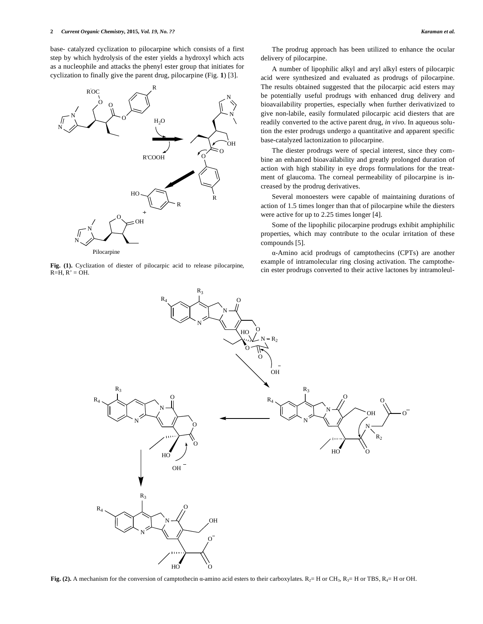base- catalyzed cyclization to pilocarpine which consists of a first step by which hydrolysis of the ester yields a hydroxyl which acts as a nucleophile and attacks the phenyl ester group that initiates for cyclization to finally give the parent drug, pilocarpine (Fig. **1**) [3].



Pilocarpine

**Fig. (1).** Cyclization of diester of pilocarpic acid to release pilocarpine,  $R=H, R' = OH.$ 

The prodrug approach has been utilized to enhance the ocular delivery of pilocarpine.

A number of lipophilic alkyl and aryl alkyl esters of pilocarpic acid were synthesized and evaluated as prodrugs of pilocarpine. The results obtained suggested that the pilocarpic acid esters may be potentially useful prodrugs with enhanced drug delivery and bioavailability properties, especially when further derivativized to give non-labile, easily formulated pilocarpic acid diesters that are readily converted to the active parent drug, *in vivo*. In aqueous solution the ester prodrugs undergo a quantitative and apparent specific base-catalyzed lactonization to pilocarpine.

The diester prodrugs were of special interest, since they combine an enhanced bioavailability and greatly prolonged duration of action with high stability in eye drops formulations for the treatment of glaucoma. The corneal permeability of pilocarpine is increased by the prodrug derivatives.

Several monoesters were capable of maintaining durations of action of 1.5 times longer than that of pilocarpine while the diesters were active for up to 2.25 times longer [4].

Some of the lipophilic pilocarpine prodrugs exhibit amphiphilic properties, which may contribute to the ocular irritation of these compounds [5].

-Amino acid prodrugs of camptothecins (CPTs) are another example of intramolecular ring closing activation. The camptothecin ester prodrugs converted to their active lactones by intramoleul-



**Fig. (2).** A mechanism for the conversion of camptothecin  $\alpha$ -amino acid esters to their carboxylates.  $R_{2}=$  H or CH<sub>3</sub>,  $R_{3}=$  H or TBS,  $R_{4}=$  H or OH.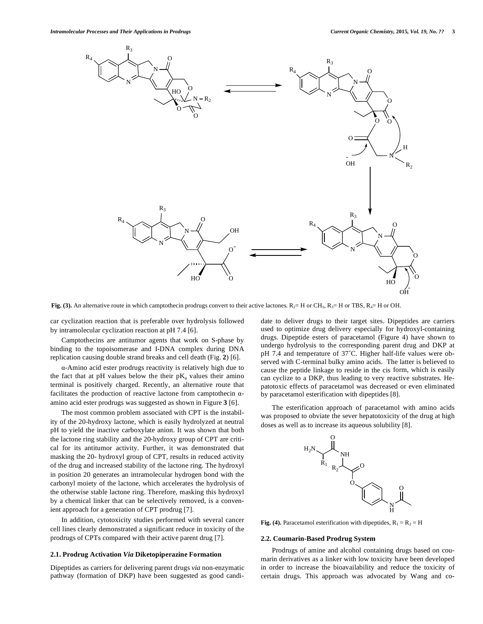

**Fig. (3).** An alternative route in which camptothecin prodrugs convert to their active lactones.  $R_2 = H$  or CH<sub>3</sub>,  $R_3 = H$  or TBS,  $R_4 = H$  or OH.

car cyclization reaction that is preferable over hydrolysis followed by intramolecular cyclization reaction at pH 7.4 [6].

Camptothecins are antitumor agents that work on S-phase by binding to the topoisomerase and I-DNA complex during DNA replication causing double strand breaks and cell death (Fig. **2**) [6].

-Amino acid ester prodrugs reactivity is relatively high due to the fact that at pH values below the their  $pK_a$  values their amino terminal is positively charged. Recently, an alternative route that facilitates the production of reactive lactone from camptothecin  $\alpha$ amino acid ester prodrugs was suggested as shown in Figure **3** [6].

The most common problem associated with CPT is the instability of the 20-hydroxy lactone, which is easily hydrolyzed at neutral pH to yield the inactive carboxylate anion. It was shown that both the lactone ring stability and the 20-hydroxy group of CPT are critical for its antitumor activity. Further, it was demonstrated that masking the 20- hydroxyl group of CPT, results in reduced activity of the drug and increased stability of the lactone ring. The hydroxyl in position 20 generates an intramolecular hydrogen bond with the carbonyl moiety of the lactone, which accelerates the hydrolysis of the otherwise stable lactone ring. Therefore, masking this hydroxyl by a chemical linker that can be selectively removed, is a convenient approach for a generation of CPT prodrug [7].

In addition, cytotoxicity studies performed with several cancer cell lines clearly demonstrated a significant reduce in toxicity of the prodrugs of CPTs compared with their active parent drug [7].

#### **2.1. Prodrug Activation** *Via* **Diketopiperazine Formation**

Dipeptides as carriers for delivering parent drugs *via* non-enzymatic pathway (formation of DKP) have been suggested as good candidate to deliver drugs to their target sites. Dipeptides are carriers used to optimize drug delivery especially for hydroxyl-containing drugs. Dipeptide esters of paracetamol (Figure 4) have shown to undergo hydrolysis to the corresponding parent drug and DKP at pH 7.4 and temperature of 37˚C. Higher half-life values were observed with C-terminal bulky amino acids. The latter is believed to cause the peptide linkage to reside in the cis form, which is easily can cyclize to a DKP, thus leading to very reactive substrates. Hepatotoxic effects of paracetamol was decreased or even eliminated by paracetamol esterification with dipeptides [8].

The esterification approach of paracetamol with amino acids was proposed to obviate the sever hepatotoxicity of the drug at high doses as well as to increase its aqueous solubility [8].



**Fig. (4).** Paracetamol esterification with dipeptides,  $R_1 = R_2 = H$ 

#### **2.2. Coumarin-Based Prodrug System**

Prodrugs of amine and alcohol containing drugs based on coumarin derivatives as a linker with low toxicity have been developed in order to increase the bioavailability and reduce the toxicity of certain drugs. This approach was advocated by Wang and co**-**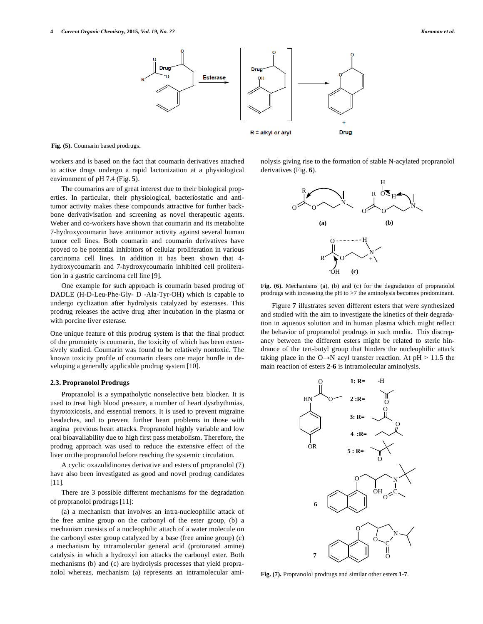

**Fig. (5).** Coumarin based prodrugs.

workers and is based on the fact that coumarin derivatives attached to active drugs undergo a rapid lactonization at a physiological environment of pH 7.4 (Fig. **5**).

The coumarins are of great interest due to their biological properties. In particular, their physiological, bacteriostatic and antitumor activity makes these compounds attractive for further backbone derivativisation and screening as novel therapeutic agents. Weber and co-workers have shown that coumarin and its metabolite 7-hydroxycoumarin have antitumor activity against several human tumor cell lines. Both coumarin and coumarin derivatives have proved to be potential inhibitors of cellular proliferation in various carcinoma cell lines. In addition it has been shown that 4 hydroxycoumarin and 7-hydroxycoumarin inhibited cell proliferation in a gastric carcinoma cell line [9].

One example for such approach is coumarin based prodrug of DADLE (H-D-Leu-Phe-Gly- D -Ala-Tyr-OH) which is capable to undergo cyclization after hydrolysis catalyzed by esterases. This prodrug releases the active drug after incubation in the plasma or with porcine liver esterase.

One unique feature of this prodrug system is that the final product of the promoiety is coumarin, the toxicity of which has been extensively studied. Coumarin was found to be relatively nontoxic. The known toxicity profile of coumarin clears one major hurdle in developing a generally applicable prodrug system [10].

#### **2.3. Propranolol Prodrugs**

Propranolol is a sympatholytic nonselective beta blocker. It is used to treat high blood pressure, a number of heart dysrhythmias, thyrotoxicosis, and essential tremors. It is used to prevent migraine headaches, and to prevent further heart problems in those with angina previous heart attacks. Propranolol highly variable and low oral bioavailability due to high first pass metabolism. Therefore, the prodrug approach was used to reduce the extensive effect of the liver on the propranolol before reaching the systemic circulation.

A cyclic oxazolidinones derivative and esters of propranolol (7) have also been investigated as good and novel prodrug candidates [11].

There are 3 possible different mechanisms for the degradation of propranolol prodrugs [11]:

(a) a mechanism that involves an intra-nucleophilic attack of the free amine group on the carbonyl of the ester group, (b) a mechanism consists of a nucleophilic attach of a water molecule on the carbonyl ester group catalyzed by a base (free amine group) (c) a mechanism by intramolecular general acid (protonated amine) catalysis in which a hydroxyl ion attacks the carbonyl ester. Both mechanisms (b) and (c) are hydrolysis processes that yield propranolol whereas, mechanism (a) represents an intramolecular aminolysis giving rise to the formation of stable N-acylated propranolol derivatives (Fig. **6**).



Fig. (6). Mechanisms (a), (b) and (c) for the degradation of propranolol prodrugs with increasing the pH to >7 the aminolysis becomes predominant.

Figure **7** illustrates seven different esters that were synthesized and studied with the aim to investigate the kinetics of their degradation in aqueous solution and in human plasma which might reflect the behavior of propranolol prodrugs in such media. This discrepancy between the different esters might be related to steric hindrance of the tert-butyl group that hinders the nucleophilic attack taking place in the  $O \rightarrow N$  acyl transfer reaction. At pH > 11.5 the main reaction of esters **2**-**6** is intramolecular aminolysis.



**Fig. (7).** Propranolol prodrugs and similar other esters **1**-**7**.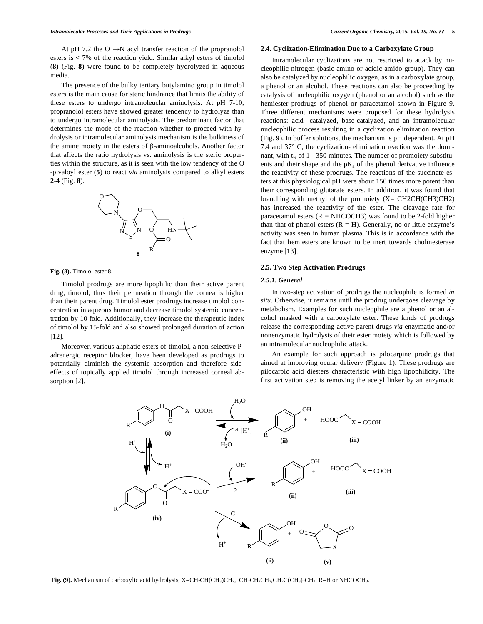At pH 7.2 the  $O \rightarrow N$  acyl transfer reaction of the propranolol esters is < 7% of the reaction yield. Similar alkyl esters of timolol (**8**) (Fig. **8**) were found to be completely hydrolyzed in aqueous media.

The presence of the bulky tertiary butylamino group in timolol esters is the main cause for steric hindrance that limits the ability of these esters to undergo intramoleuclar aminolysis. At pH 7-10, propranolol esters have showed greater tendency to hydrolyze than to undergo intramolecular aminolysis. The predominant factor that determines the mode of the reaction whether to proceed with hydrolysis or intramolecular aminolysis mechanism is the bulkiness of the amine moiety in the esters of  $\beta$ -aminoalcohols. Another factor that affects the ratio hydrolysis vs. aminolysis is the steric properties within the structure, as it is seen with the low tendency of the O -pivaloyl ester (**5**) to react *via* aminolysis compared to alkyl esters **2**-**4** (Fig. **8**).



**Fig. (8).** Timolol ester **8**.

Timolol prodrugs are more lipophilic than their active parent drug, timolol, thus their permeation through the cornea is higher than their parent drug. Timolol ester prodrugs increase timolol concentration in aqueous humor and decrease timolol systemic concentration by 10 fold. Additionally, they increase the therapeutic index of timolol by 15-fold and also showed prolonged duration of action [12].

Moreover, various aliphatic esters of timolol, a non-selective Padrenergic receptor blocker, have been developed as prodrugs to potentially diminish the systemic absorption and therefore sideeffects of topically applied timolol through increased corneal absorption [2].

#### **2.4. Cyclization-Elimination Due to a Carboxylate Group**

Intramolecular cyclizations are not restricted to attack by nucleophilic nitrogen (basic amino or acidic amido group). They can also be catalyzed by nucleophilic oxygen, as in a carboxylate group, a phenol or an alcohol. These reactions can also be proceeding by catalysis of nucleophilic oxygen (phenol or an alcohol) such as the hemiester prodrugs of phenol or paracetamol shown in Figure 9. Three different mechanisms were proposed for these hydrolysis reactions: acid- catalyzed, base-catalyzed, and an intramolecular nucleophilic process resulting in a cyclization elimination reaction (Fig. **9**). In buffer solutions, the mechanism is pH dependent. At pH 7.4 and 37° C, the cyclization- elimination reaction was the dominant, with  $t_{1/2}$  of 1 - 350 minutes. The number of promoiety substituents and their shape and the  $pK_a$  of the phenol derivative influence the reactivity of these prodrugs. The reactions of the succinate esters at this physiological pH were about 150 times more potent than their corresponding glutarate esters. In addition, it was found that branching with methyl of the promoiety  $(X=CH2CH(CH3)CH2)$ has increased the reactivity of the ester. The cleavage rate for paracetamol esters  $(R = NHCOCH3)$  was found to be 2-fold higher than that of phenol esters  $(R = H)$ . Generally, no or little enzyme's activity was seen in human plasma. This is in accordance with the fact that hemiesters are known to be inert towards cholinesterase enzyme [13].

#### **2.5. Two Step Activation Prodrugs**

#### *2.5.1. General*

In two-step activation of prodrugs the nucleophile is formed *in situ*. Otherwise, it remains until the prodrug undergoes cleavage by metabolism. Examples for such nucleophile are a phenol or an alcohol masked with a carboxylate ester. These kinds of prodrugs release the corresponding active parent drugs *via* enzymatic and/or nonenzymatic hydrolysis of their ester moiety which is followed by an intramolecular nucleophilic attack.

An example for such approach is pilocarpine prodrugs that aimed at improving ocular delivery (Figure 1). These prodrugs are pilocarpic acid diesters characteristic with high lipophilicity. The first activation step is removing the acetyl linker by an enzymatic



Fig. (9). Mechanism of carboxylic acid hydrolysis, X=CH<sub>2</sub>CH(CH<sub>3</sub>)CH<sub>2</sub>, CH<sub>2</sub>CH<sub>2</sub>CH<sub>2</sub>,CH<sub>2</sub>C(CH<sub>3</sub>)<sub>2</sub>CH<sub>2</sub>, R=H or NHCOCH<sub>3</sub>.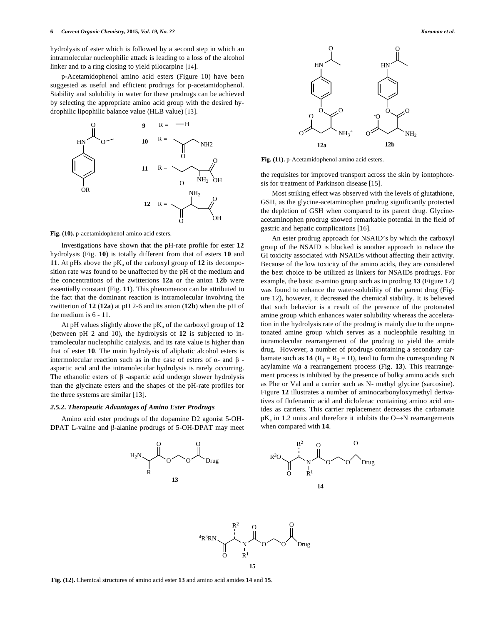hydrolysis of ester which is followed by a second step in which an intramolecular nucleophilic attack is leading to a loss of the alcohol linker and to a ring closing to yield pilocarpine [14].

p-Acetamidophenol amino acid esters (Figure 10) have been suggested as useful and efficient prodrugs for p-acetamidophenol. Stability and solubility in water for these prodrugs can be achieved by selecting the appropriate amino acid group with the desired hydrophilic lipophilic balance value (HLB value) [13].



**Fig. (10).** p-acetamidophenol amino acid esters.

Investigations have shown that the pH-rate profile for ester **12** hydrolysis (Fig. **10**) is totally different from that of esters **10** and **11**. At pHs above the  $pK_a$  of the carboxyl group of **12** its decomposition rate was found to be unaffected by the pH of the medium and the concentrations of the zwitterions **12a** or the anion **12b** were essentially constant (Fig. **11**). This phenomenon can be attributed to the fact that the dominant reaction is intramolecular involving the zwitterion of **12** (**12a**) at pH 2-6 and its anion (**12b**) when the pH of the medium is 6 - 11.

At pH values slightly above the  $pK_a$  of the carboxyl group of  $12$ (between pH 2 and 10), the hydrolysis of **12** is subjected to intramolecular nucleophilic catalysis, and its rate value is higher than that of ester **10**. The main hydrolysis of aliphatic alcohol esters is intermolecular reaction such as in the case of esters of  $\alpha$ - and  $\beta$ aspartic acid and the intramolecular hydrolysis is rarely occurring. The ethanolic esters of  $\beta$  -aspartic acid undergo slower hydrolysis than the glycinate esters and the shapes of the pH-rate profiles for the three systems are similar [13].

#### *2.5.2. Therapeutic Advantages of Amino Ester Prodrugs*

Amino acid ester prodrugs of the dopamine D2 agonist 5-OH-DPAT L-valine and  $\beta$ -alanine prodrugs of 5-OH-DPAT may meet



**Fig. (11).** p-Acetamidophenol amino acid esters.

the requisites for improved transport across the skin by iontophoresis for treatment of Parkinson disease [15].

Most striking effect was observed with the levels of glutathione, GSH, as the glycine-acetaminophen prodrug significantly protected the depletion of GSH when compared to its parent drug. Glycineacetaminophen prodrug showed remarkable potential in the field of gastric and hepatic complications [16].

An ester prodrug approach for NSAID's by which the carboxyl group of the NSAID is blocked is another approach to reduce the GI toxicity associated with NSAIDs without affecting their activity. Because of the low toxicity of the amino acids, they are considered the best choice to be utilized as linkers for NSAIDs prodrugs. For example, the basic  $\alpha$ -amino group such as in prodrug 13 (Figure 12) was found to enhance the water-solubility of the parent drug (Figure 12), however, it decreased the chemical stability. It is believed that such behavior is a result of the presence of the protonated amine group which enhances water solubility whereas the acceleration in the hydrolysis rate of the prodrug is mainly due to the unprotonated amine group which serves as a nucleophile resulting in intramolecular rearrangement of the prodrug to yield the amide drug. However, a number of prodrugs containing a secondary carbamate such as  $14$  ( $R_1 = R_2 = H$ ), tend to form the corresponding N acylamine *via* a rearrangement process (Fig. **13**). This rearrangement process is inhibited by the presence of bulky amino acids such as Phe or Val and a carrier such as N- methyl glycine (sarcosine). Figure **12** illustrates a number of aminocarbonyloxymethyl derivatives of flufenamic acid and diclofenac containing amino acid amides as carriers. This carrier replacement decreases the carbamate  $pK_a$  in 1.2 units and therefore it inhibits the O $\rightarrow$ N rearrangements when compared with **14**.



**Fig. (12).** Chemical structures of amino acid ester **13** and amino acid amides **14** and **15**.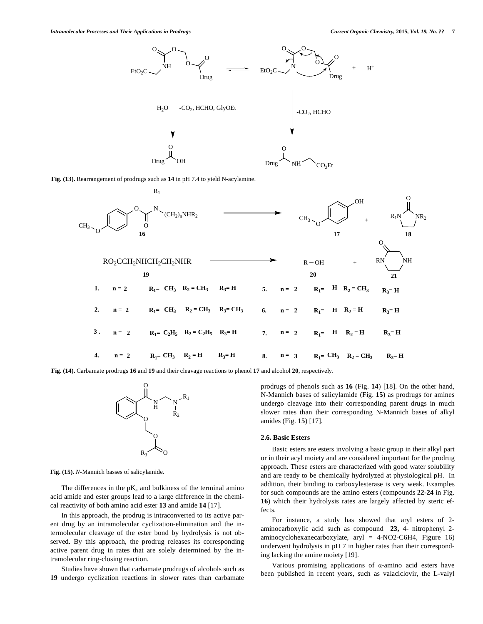

**Fig. (13).** Rearrangement of prodrugs such as **14** in pH 7.4 to yield N-acylamine.



**Fig. (14).** Carbamate prodrugs **16** and **19** and their cleavage reactions to phenol **17** and alcohol **20**, respectively.



**Fig. (15).** *N*-Mannich basses of salicylamide.

The differences in the  $pK_a$  and bulkiness of the terminal amino acid amide and ester groups lead to a large difference in the chemical reactivity of both amino acid ester **13** and amide **14** [17].

In this approach, the prodrug is intraconverted to its active parent drug by an intramolecular cyclization-elimination and the intermolecular cleavage of the ester bond by hydrolysis is not observed. By this approach, the prodrug releases its corresponding active parent drug in rates that are solely determined by the intramolecular ring-closing reaction.

Studies have shown that carbamate prodrugs of alcohols such as **19** undergo cyclization reactions in slower rates than carbamate prodrugs of phenols such as **16** (Fig. **14**) [18]. On the other hand, N-Mannich bases of salicylamide (Fig. **15**) as prodrugs for amines undergo cleavage into their corresponding parent drugs in much slower rates than their corresponding N-Mannich bases of alkyl amides (Fig. **15**) [17].

#### **2.6. Basic Esters**

Basic esters are esters involving a basic group in their alkyl part or in their acyl moiety and are considered important for the prodrug approach. These esters are characterized with good water solubility and are ready to be chemically hydrolyzed at physiological pH. In addition, their binding to carboxylesterase is very weak. Examples for such compounds are the amino esters (compounds **22**-**24** in Fig. **16**) which their hydrolysis rates are largely affected by steric effects.

For instance, a study has showed that aryl esters of 2 aminocarboxylic acid such as compound **23,** 4- nitrophenyl 2 aminocyclohexanecarboxylate, aryl = 4-NO2-C6H4, Figure 16) underwent hydrolysis in pH 7 in higher rates than their corresponding lacking the amine moiety [19].

Various promising applications of  $\alpha$ -amino acid esters have been published in recent years, such as valaciclovir, the L-valyl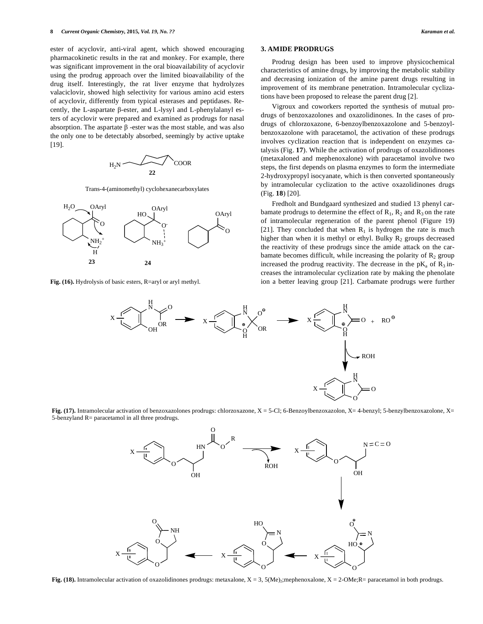ester of acyclovir, anti-viral agent, which showed encouraging pharmacokinetic results in the rat and monkey. For example, there was significant improvement in the oral bioavailability of acyclovir using the prodrug approach over the limited bioavailability of the drug itself. Interestingly, the rat liver enzyme that hydrolyzes valaciclovir, showed high selectivity for various amino acid esters of acyclovir, differently from typical esterases and peptidases. Recently, the L-aspartate  $\beta$ -ester, and L-lysyl and L-phenylalanyl esters of acyclovir were prepared and examined as prodrugs for nasal absorption. The aspartate  $\beta$  -ester was the most stable, and was also the only one to be detectably absorbed, seemingly by active uptake [19].

$$
H_2N \longrightarrow 22
$$
  $COOR$ 

Trans-4-(aminomethyl) cyclohexanecarboxylates



**Fig. (16).** Hydrolysis of basic esters, R=aryl or aryl methyl.

#### **3. AMIDE PRODRUGS**

Prodrug design has been used to improve physicochemical characteristics of amine drugs, by improving the metabolic stability and decreasing ionization of the amine parent drugs resulting in improvement of its membrane penetration. Intramolecular cyclizations have been proposed to release the parent drug [2].

Vigroux and coworkers reported the synthesis of mutual prodrugs of benzoxazolones and oxazolidinones. In the cases of prodrugs of chlorzoxazone, 6-benzoylbenzoxazolone and 5-benzoylbenzoxazolone with paracetamol, the activation of these prodrugs involves cyclization reaction that is independent on enzymes catalysis (Fig. **17**). While the activation of prodrugs of oxazolidinones (metaxaloned and mephenoxalone) with paracetamol involve two steps, the first depends on plasma enzymes to form the intermediate 2-hydroxypropyl isocyanate, which is then converted spontaneously by intramolecular cyclization to the active oxazolidinones drugs (Fig. **18**) [20].

Fredholt and Bundgaard synthesized and studied 13 phenyl carbamate prodrugs to determine the effect of  $R_1$ ,  $R_2$  and  $R_3$  on the rate of intramolecular regeneration of the parent phenol (Figure 19) [21]. They concluded that when  $R_1$  is hydrogen the rate is much higher than when it is methyl or ethyl. Bulky  $R_2$  groups decreased the reactivity of these prodrugs since the amide attack on the carbamate becomes difficult, while increasing the polarity of  $R<sub>2</sub>$  group increased the prodrug reactivity. The decrease in the  $pK_a$  of  $R_3$  increases the intramolecular cyclization rate by making the phenolate ion a better leaving group [21]. Carbamate prodrugs were further



**Fig. (17).** Intramolecular activation of benzoxazolones prodrugs: chlorzoxazone, X = 5-Cl; 6-Benzoylbenzoxazolon, X= 4-benzyl; 5-benzylbenzoxazolone, X= 5-benzyland R= paracetamol in all three prodrugs.



Fig. (18). Intramolecular activation of oxazolidinones prodrugs: metaxalone, X = 3, 5(Me)<sub>2</sub>;mephenoxalone, X = 2-OMe;R= paracetamol in both prodrugs.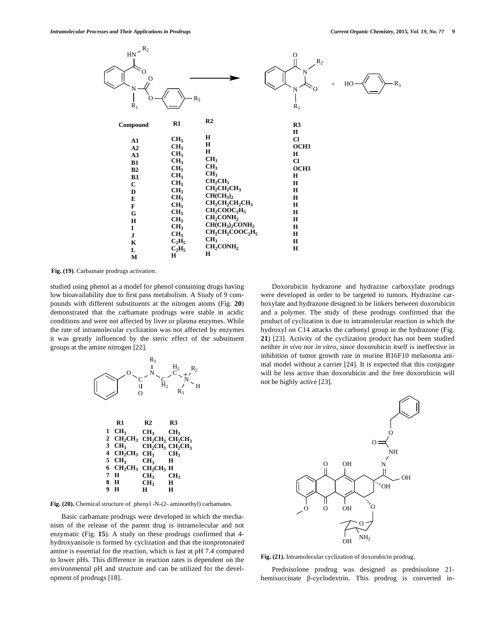

**Fig. (19)**. Carbamate prodrugs activation.

studied using phenol as a model for phenol containing drugs having low bioavailability due to first pass metabolism. A Study of 9 compounds with different substituents at the nitrogen atoms (Fig. **20**) demonstrated that the carbamate prodrugs were stable in acidic conditions and were not affected by liver or plasma enzymes. While the rate of intramolecular cyclization was not affected by enzymes it was greatly influenced by the steric effect of the substituent groups at the amine nitrogen [22].



 $CH_2CH_3$   $CH_2CH_3$   $CH_2CH_3$ 

**CH2CH3 CH2CH3**

**CH3**

**CH3 H**

**CH3 H H**

**CH3**

**R1 R2 R3**

**CH3 CH3 CH2CH3 H CH3 CH3 H**

were developed in order to be targeted to tumors. Hydrazine carboxylate and hydrazone designed to be linkers between doxorubicin and a polymer. The study of these prodrugs confirmed that the product of cyclization is due to intramolecular reaction in which the hydroxyl on C14 attacks the carbonyl group in the hydrazone (Fig. **21**) [23]. Activity of the cyclization product has not been studied neither *in vivo* nor *in vitro*, since doxorubicin itself is ineffective in inhibition of tumor growth rate in murine B16F10 melanoma animal model without a carrier [24]. It is expected that this conjugate will be less active than doxorubicin and the free doxorubicin will not be highly active [23].

Doxorubicin hydrazone and hydrazine carboxylate prodrugs



**Fig. (20).** Chemical structure of phenyl -N-(2- aminoethyl) carbamates.

**CH2CH3 CH3** CH<sub>2</sub>CH<sub>2</sub> **H H H**

Basic carbamate prodrugs were developed in which the mechanism of the release of the parent drug is intramolecular and not enzymatic (Fig. **15**). A study on these prodrugs confirmed that 4 hydroxyanisole is formed by cyclization and that the nonprotonated amine is essential for the reaction, which is fast at pH 7.4 compared to lower pHs. This difference in reaction rates is dependent on the environmental pH and structure and can be utilized for the development of prodrugs [18].

**Fig. (21).** Intramolecular cyclization of doxorubicin prodrug.

Prednisolone prodrug was designed as prednisolone 21 hemisuccinate  $\beta$ -cyclodextrin. This prodrug is converted in-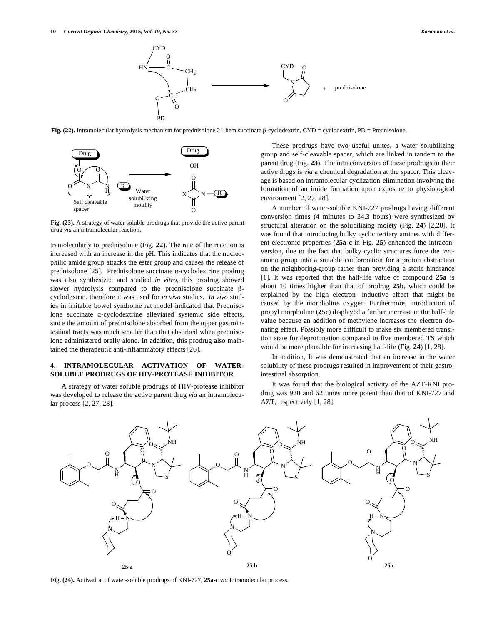

Fig.  $(22)$ . Intramolecular hydrolysis mechanism for prednisolone 21-hemisuccinate  $\beta$ -cyclodextrin, CYD = cyclodextrin, PD = Prednisolone.



**Fig. (23).** A strategy of water soluble prodrugs that provide the active parent drug *via* an intramolecular reaction.

tramolecularly to prednisolone (Fig. **22**). The rate of the reaction is increased with an increase in the pH. This indicates that the nucleophilic amide group attacks the ester group and causes the release of prednisolone [25]. Prednisolone succinate  $\alpha$ -cyclodextrine prodrug was also synthesized and studied *in vitro*, this prodrug showed slower hydrolysis compared to the prednisolone succinate  $\beta$ cyclodextrin, therefore it was used for *in vivo* studies. *In vivo* studies in irritable bowel syndrome rat model indicated that Prednisolone succinate  $\alpha$ -cyclodextrine alleviated systemic side effects, since the amount of prednisolone absorbed from the upper gastrointestinal tracts was much smaller than that absorbed when prednisolone administered orally alone. In addition, this prodrug also maintained the therapeutic anti-inflammatory effects [26].

#### **4. INTRAMOLECULAR ACTIVATION OF WATER-SOLUBLE PRODRUGS OF HIV-PROTEASE INHIBITOR**

A strategy of water soluble prodrugs of HIV-protease inhibitor was developed to release the active parent drug *via* an intramolecular process [2, 27, 28].

These prodrugs have two useful unites, a water solubilizing group and self-cleavable spacer, which are linked in tandem to the parent drug (Fig. **23**). The intraconversion of these prodrugs to their active drugs is *via* a chemical degradation at the spacer. This cleavage is based on intramolecular cyclization-elimination involving the formation of an imide formation upon exposure to physiological environment [2, 27, 28].

A number of water-soluble KNI-727 prodrugs having different conversion times (4 minutes to 34.3 hours) were synthesized by structural alteration on the solubilizing moiety (Fig. **24**) [2,28]. It was found that introducing bulky cyclic tertiary amines with different electronic properties (**25a-c** in Fig. **25**) enhanced the intraconversion, due to the fact that bulky cyclic structures force the *tert*amino group into a suitable conformation for a proton abstraction on the neighboring-group rather than providing a steric hindrance [1]. It was reported that the half-life value of compound **25a** is about 10 times higher than that of prodrug **25b**, which could be explained by the high electron- inductive effect that might be caused by the morpholine oxygen. Furthermore, introduction of propyl morpholine (**25c**) displayed a further increase in the half-life value because an addition of methylene increases the electron donating effect. Possibly more difficult to make six membered transition state for deprotonation compared to five membered TS which would be more plausible for increasing half-life (Fig. **24**) [1, 28].

In addition, It was demonstrated that an increase in the water solubility of these prodrugs resulted in improvement of their gastrointestinal absorption.

It was found that the biological activity of the AZT-KNI prodrug was 920 and 62 times more potent than that of KNI-727 and AZT, respectively [1, 28].



**Fig. (24).** Activation of water-soluble prodrugs of KNI-727, **25a-c** *via* Intramolecular process.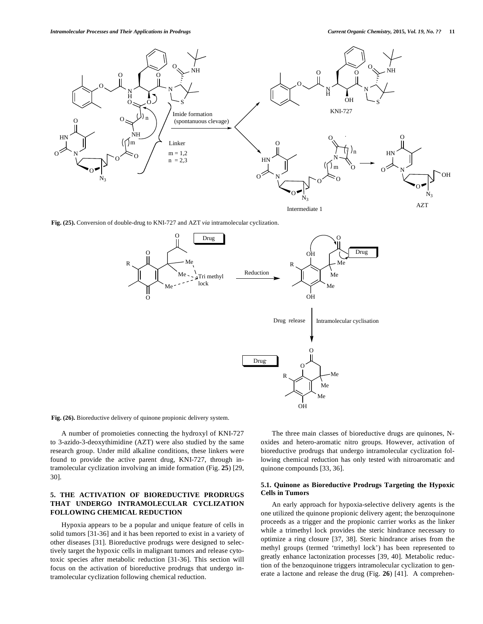

**Fig. (25).** Conversion of double-drug to KNI-727 and AZT *via* intramolecular cyclization.



**Fig. (26).** Bioreductive delivery of quinone propionic delivery system.

A number of promoieties connecting the hydroxyl of KNI-727 to 3-azido-3-deoxythimidine (AZT) were also studied by the same research group. Under mild alkaline conditions, these linkers were found to provide the active parent drug, KNI-727, through intramolecular cyclization involving an imide formation (Fig. **25**) [29, 30].

#### **5. THE ACTIVATION OF BIOREDUCTIVE PRODRUGS THAT UNDERGO INTRAMOLECULAR CYCLIZATION FOLLOWING CHEMICAL REDUCTION**

Hypoxia appears to be a popular and unique feature of cells in solid tumors [31-36] and it has been reported to exist in a variety of other diseases [31]. Bioreductive prodrugs were designed to selectively target the hypoxic cells in malignant tumors and release cytotoxic species after metabolic reduction [31-36]. This section will focus on the activation of bioreductive prodrugs that undergo intramolecular cyclization following chemical reduction.

The three main classes of bioreductive drugs are quinones, Noxides and hetero-aromatic nitro groups. However, activation of bioreductive prodrugs that undergo intramolecular cyclization following chemical reduction has only tested with nitroaromatic and quinone compounds [33, 36].

#### **5.1. Quinone as Bioreductive Prodrugs Targeting the Hypoxic Cells in Tumors**

An early approach for hypoxia-selective delivery agents is the one utilized the quinone propionic delivery agent; the benzoquinone proceeds as a trigger and the propionic carrier works as the linker while a trimethyl lock provides the steric hindrance necessary to optimize a ring closure [37, 38]. Steric hindrance arises from the methyl groups (termed 'trimethyl lock') has been represented to greatly enhance lactonization processes [39, 40]. Metabolic reduction of the benzoquinone triggers intramolecular cyclization to generate a lactone and release the drug (Fig. **26**) [41]. A comprehen-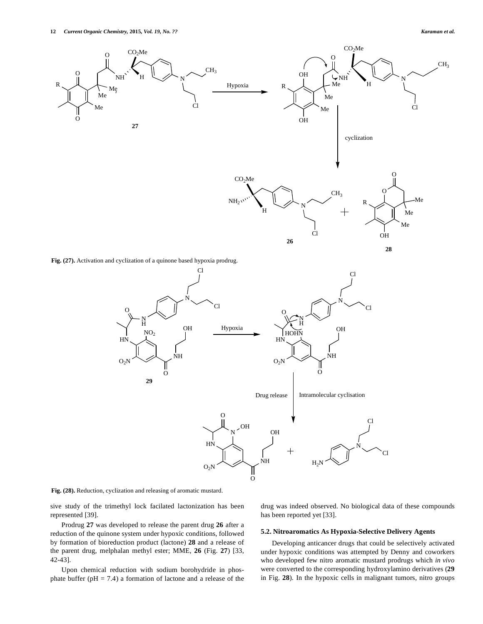

**Fig. (28).** Reduction, cyclization and releasing of aromatic mustard.

sive study of the trimethyl lock facilated lactonization has been represented [39].

Prodrug **27** was developed to release the parent drug **26** after a reduction of the quinone system under hypoxic conditions, followed by formation of bioreduction product (lactone) **28** and a release of the parent drug, melphalan methyl ester; MME, **26** (Fig. **27**) [33, 42-43].

Upon chemical reduction with sodium borohydride in phosphate buffer ( $pH = 7.4$ ) a formation of lactone and a release of the drug was indeed observed. No biological data of these compounds has been reported yet [33].

#### **5.2. Nitroaromatics As Hypoxia-Selective Delivery Agents**

Developing anticancer drugs that could be selectively activated under hypoxic conditions was attempted by Denny and coworkers who developed few nitro aromatic mustard prodrugs which *in vivo* were converted to the corresponding hydroxylamino derivatives (**29** in Fig. **28**). In the hypoxic cells in malignant tumors, nitro groups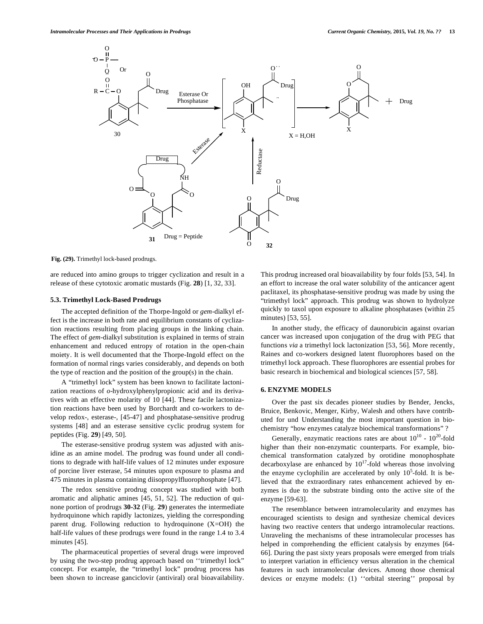

**Fig. (29).** Trimethyl lock-based prodrugs.

are reduced into amino groups to trigger cyclization and result in a release of these cytotoxic aromatic mustards (Fig. **28**) [1, 32, 33].

#### **5.3. Trimethyl Lock-Based Prodrugs**

The accepted definition of the Thorpe-Ingold or *gem*-dialkyl effect is the increase in both rate and equilibrium constants of cyclization reactions resulting from placing groups in the linking chain. The effect of *gem*-dialkyl substitution is explained in terms of strain enhancement and reduced entropy of rotation in the open-chain moiety. It is well documented that the Thorpe-Ingold effect on the formation of normal rings varies considerably, and depends on both the type of reaction and the position of the group(s) in the chain.

A "trimethyl lock" system has been known to facilitate lactonization reactions of *o*-hydroxylphenylpropionic acid and its derivatives with an effective molarity of 10 [44]. These facile lactonization reactions have been used by Borchardt and co-workers to develop redox-, esterase-, [45-47] and phosphatase-sensitive prodrug systems [48] and an esterase sensitive cyclic prodrug system for peptides (Fig. **29**) [49, 50].

The esterase-sensitive prodrug system was adjusted with anisidine as an amine model. The prodrug was found under all conditions to degrade with half-life values of 12 minutes under exposure of porcine liver esterase, 54 minutes upon exposure to plasma and 475 minutes in plasma containing diisopropylfluorophosphate [47].

The redox sensitive prodrug concept was studied with both aromatic and aliphatic amines [45, 51, 52]. The reduction of quinone portion of prodrugs **30-32** (Fig. **29**) generates the intermediate hydroquinone which rapidly lactonizes, yielding the corresponding parent drug. Following reduction to hydroquinone (X=OH) the half-life values of these prodrugs were found in the range 1.4 to 3.4 minutes [45].

The pharmaceutical properties of several drugs were improved by using the two-step prodrug approach based on ''trimethyl lock" concept. For example, the "trimethyl lock" prodrug process has been shown to increase ganciclovir (antiviral) oral bioavailability.

This prodrug increased oral bioavailability by four folds [53, 54]. In an effort to increase the oral water solubility of the anticancer agent paclitaxel, its phosphatase-sensitive prodrug was made by using the "trimethyl lock" approach. This prodrug was shown to hydrolyze quickly to taxol upon exposure to alkaline phosphatases (within 25 minutes) [53, 55].

In another study, the efficacy of daunorubicin against ovarian cancer was increased upon conjugation of the drug with PEG that functions *via* a trimethyl lock lactonization [53, 56]. More recently, Raines and co-workers designed latent fluorophores based on the trimethyl lock approach. These fluorophores are essential probes for basic research in biochemical and biological sciences [57, 58].

#### **6. ENZYME MODELS**

Over the past six decades pioneer studies by Bender, Jencks, Bruice, Benkovic, Menger, Kirby, Walesh and others have contributed for und Understanding the most important question in biochemistry "how enzymes catalyze biochemical transformations" ?

Generally, enzymatic reactions rates are about  $10^{10}$  -  $10^{20}$ -fold higher than their non-enzymatic counterparts. For example, biochemical transformation catalyzed by orotidine monophosphate decarboxylase are enhanced by  $10^{17}$ -fold whereas those involving the enzyme cyclophilin are accelerated by only  $10^5$ -fold. It is believed that the extraordinary rates enhancement achieved by enzymes is due to the substrate binding onto the active site of the enzyme [59-63].

The resemblance between intramolecularity and enzymes has encouraged scientists to design and synthesize chemical devices having two reactive centers that undergo intramolecular reactions. Unraveling the mechanisms of these intramolecular processes has helped in comprehending the efficient catalysis by enzymes [64- 66]. During the past sixty years proposals were emerged from trials to interpret variation in efficiency versus alteration in the chemical features in such intramolecular devices. Among those chemical devices or enzyme models: (1) ''orbital steering'' proposal by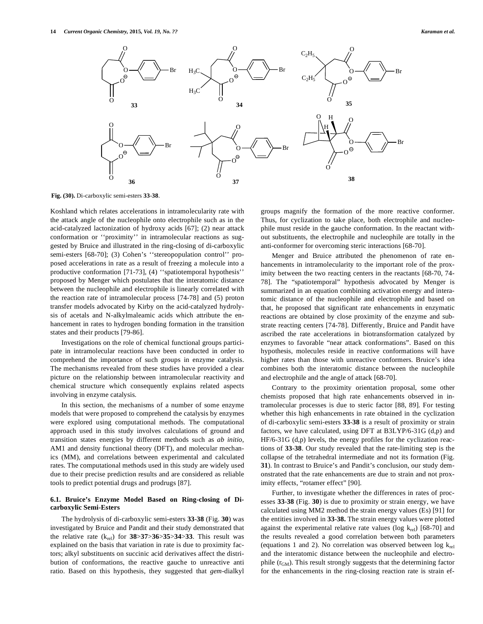

**Fig. (30).** Di-carboxylic semi-esters **33**-**38**.

Koshland which relates accelerations in intramolecularity rate with the attack angle of the nucleophile onto electrophile such as in the acid-catalyzed lactonization of hydroxy acids [67]; (2) near attack conformation or ''proximity'' in intramolecular reactions as suggested by Bruice and illustrated in the ring-closing of di-carboxylic semi-esters [68-70]; (3) Cohen's ''stereopopulation control'' proposed accelerations in rate as a result of freezing a molecule into a productive conformation [71-73], (4) ''spatiotemporal hypothesis'' proposed by Menger which postulates that the interatomic distance between the nucleophile and electrophile is linearly correlated with the reaction rate of intramolecular process [74-78] and (5) proton transfer models advocated by Kirby on the acid-catalyzed hydrolysis of acetals and N-alkylmaleamic acids which attribute the enhancement in rates to hydrogen bonding formation in the transition states and their products [79-86].

Investigations on the role of chemical functional groups participate in intramolecular reactions have been conducted in order to comprehend the importance of such groups in enzyme catalysis. The mechanisms revealed from these studies have provided a clear picture on the relationship between intramolecular reactivity and chemical structure which consequently explains related aspects involving in enzyme catalysis.

In this section, the mechanisms of a number of some enzyme models that were proposed to comprehend the catalysis by enzymes were explored using computational methods. The computational approach used in this study involves calculations of ground and transition states energies by different methods such as *ab initio*, AM1 and density functional theory (DFT), and molecular mechanics (MM), and correlations between experimental and calculated rates. The computational methods used in this study are widely used due to their precise prediction results and are considered as reliable tools to predict potential drugs and prodrugs [87].

#### **6.1. Bruice's Enzyme Model Based on Ring-closing of Dicarboxylic Semi-Esters**

The hydrolysis of di-carboxylic semi-esters **33**-**38** (Fig. **30**) was investigated by Bruice and Pandit and their study demonstrated that the relative rate  $(k_{rel})$  for  $38 > 37 > 36 > 35 > 34 > 33$ . This result was explained on the basis that variation in rate is due to proximity factors; alkyl substituents on succinic acid derivatives affect the distribution of conformations, the reactive gauche to unreactive anti ratio. Based on this hypothesis, they suggested that *gem*-dialkyl groups magnify the formation of the more reactive conformer. Thus, for cyclization to take place, both electrophile and nucleophile must reside in the gauche conformation. In the reactant without substituents, the electrophile and nucleophile are totally in the anti-conformer for overcoming steric interactions [68-70].

Menger and Bruice attributed the phenomenon of rate enhancements in intramolecularity to the important role of the proximity between the two reacting centers in the reactants [68-70, 74- 78]. The "spatiotemporal" hypothesis advocated by Menger is summarized in an equation combining activation energy and interatomic distance of the nucleophile and electrophile and based on that, he proposed that significant rate enhancements in enzymatic reactions are obtained by close proximity of the enzyme and substrate reacting centers [74-78]. Differently, Bruice and Pandit have ascribed the rate accelerations in biotransformation catalyzed by enzymes to favorable "near attack conformations". Based on this hypothesis, molecules reside in reactive conformations will have higher rates than those with unreactive conformers. Bruice's idea combines both the interatomic distance between the nucleophile and electrophile and the angle of attack [68-70].

Contrary to the proximity orientation proposal, some other chemists proposed that high rate enhancements observed in intramolecular processes is due to steric factor [88, 89]. For testing whether this high enhancements in rate obtained in the cyclization of di-carboxylic semi-esters **33**-**38** is a result of proximity or strain factors, we have calculated, using DFT at B3LYP/6-31G (d,p) and HF/6-31G (d,p) levels, the energy profiles for the cyclization reactions of **33**-**38**. Our study revealed that the rate-limiting step is the collapse of the tetrahedral intermediate and not its formation (Fig. **31**). In contrast to Bruice's and Pandit's conclusion, our study demonstrated that the rate enhancements are due to strain and not proximity effects, "rotamer effect" [90].

Further, to investigate whether the differences in rates of processes **33**-**38** (Fig. **30**) is due to proximity or strain energy, we have calculated using MM2 method the strain energy values (Es) [91] for the entities involved in **33**-**38.** The strain energy values were plotted against the experimental relative rate values ( $log k_{rel}$ ) [68-70] and the results revealed a good correlation between both parameters (equations 1 and 2). No correlation was observed between  $log k_{rel}$ and the interatomic distance between the nucleophile and electrophile (r<sub>GM</sub>). This result strongly suggests that the determining factor for the enhancements in the ring-closing reaction rate is strain ef-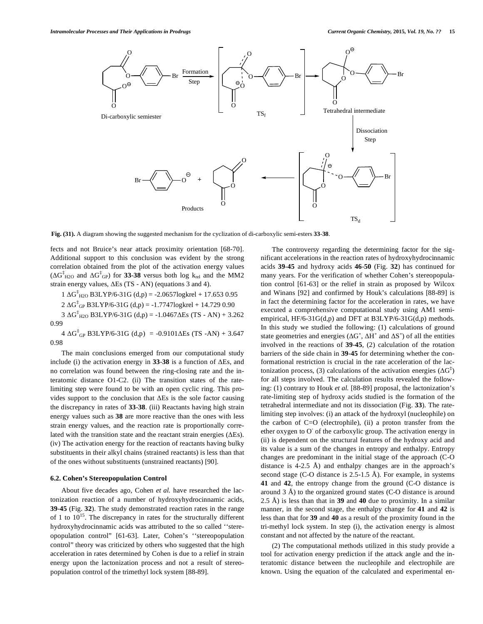

**Fig. (31).** A diagram showing the suggested mechanism for the cyclization of di-carboxylic semi-esters **33**-**38**.

fects and not Bruice's near attack proximity orientation [68-70]. Additional support to this conclusion was evident by the strong correlation obtained from the plot of the activation energy values  $(\Delta G^{\ddagger}_{H2O}$  and  $\Delta G^{\ddagger}_{GP})$  for **33-38** versus both log k<sub>rel</sub> and the MM2 strain energy values,  $\Delta$ Es (TS - AN) (equations 3 and 4).

 $1 \Delta G_{H2O}^{\ddagger}$  B3LYP/6-31G (d,p) = -2.0657logkrel + 17.653 0.95

 $2 \Delta G_{GP}^{\dagger}$  B3LYP/6-31G (d,p) = -1.7747logkrel + 14.729 0.90

3  $\Delta G^{\dagger}_{H2O}$  B3LYP/6-31G (d,p) = -1.0467 $\Delta E$ s (TS - AN) + 3.262 0.99

 $4 \Delta G_{GP}^{\dagger}$  B3LYP/6-31G (d,p) = -0.9101 $\Delta$ Es (TS -AN) + 3.647 0.98

The main conclusions emerged from our computational study include (i) the activation energy in  $33-38$  is a function of  $\Delta \text{Es}$ , and no correlation was found between the ring-closing rate and the interatomic distance O1-C2. (ii) The transition states of the ratelimiting step were found to be with an open cyclic ring. This provides support to the conclusion that  $\Delta E$ s is the sole factor causing the discrepancy in rates of **33**-**38**. (iii) Reactants having high strain energy values such as **38** are more reactive than the ones with less strain energy values, and the reaction rate is proportionally correlated with the transition state and the reactant strain energies  $( \Delta Es)$ . (iv) The activation energy for the reaction of reactants having bulky substituents in their alkyl chains (strained reactants) is less than that of the ones without substituents (unstrained reactants) [90].

#### **6.2. Cohen's Stereopopulation Control**

About five decades ago, Cohen *et al.* have researched the lactonization reaction of a number of hydroxyhydrocinnamic acids, **39**-**45** (Fig. **32**). The study demonstrated reaction rates in the range of 1 to  $10^{15}$ . The discrepancy in rates for the structurally different hydroxyhydrocinnamic acids was attributed to the so called ''stereopopulation control" [61-63]. Later, Cohen's ''stereopopulation control" theory was criticized by others who suggested that the high acceleration in rates determined by Cohen is due to a relief in strain energy upon the lactonization process and not a result of stereopopulation control of the trimethyl lock system [88-89].

The controversy regarding the determining factor for the significant accelerations in the reaction rates of hydroxyhydrocinnamic acids **39**-**45** and hydroxy acids **46**-**50** (Fig. **32**) has continued for many years. For the verification of whether Cohen's stereopopulation control [61-63] or the relief in strain as proposed by Wilcox and Winans [92] and confirmed by Houk's calculations [88-89] is in fact the determining factor for the acceleration in rates, we have executed a comprehensive computational study using AM1 semiempirical, HF/6-31G(d,p) and DFT at B3LYP/6-31G(d,p) methods. In this study we studied the following: (1) calculations of ground state geometries and energies ( $\Delta G^{\circ}$ ,  $\Delta H^{\circ}$  and  $\Delta S^{\circ}$ ) of all the entities involved in the reactions of **39**-**45**, (2) calculation of the rotation barriers of the side chain in **39**-**45** for determining whether the conformational restriction is crucial in the rate acceleration of the lactonization process, (3) calculations of the activation energies  $(\Delta G^{\ddagger})$ for all steps involved. The calculation results revealed the following: (1) contrary to Houk *et al.* [88-89] proposal, the lactonization's rate-limiting step of hydroxy acids studied is the formation of the tetrahedral intermediate and not its dissociation (Fig. **33**). The ratelimiting step involves: (i) an attack of the hydroxyl (nucleophile) on the carbon of C=O (electrophile), (ii) a proton transfer from the ether oxygen to O of the carboxylic group. The activation energy in (ii) is dependent on the structural features of the hydroxy acid and its value is a sum of the changes in entropy and enthalpy. Entropy changes are predominant in the initial stage of the approach (C-O distance is 4-2.5 Å) and enthalpy changes are in the approach's second stage (C-O distance is 2.5-1.5 Å). For example, in systems **41** and **42**, the entropy change from the ground (C-O distance is around 3 Å) to the organized ground states (C-O distance is around 2.5 Å) is less than that in **39** and **40** due to proximity. In a similar manner, in the second stage, the enthalpy change for **41** and **42** is less than that for **39** and **40** as a result of the proximity found in the tri-methyl lock system. In step (i), the activation energy is almost constant and not affected by the nature of the reactant.

(2) The computational methods utilized in this study provide a tool for activation energy prediction if the attack angle and the interatomic distance between the nucleophile and electrophile are known. Using the equation of the calculated and experimental en-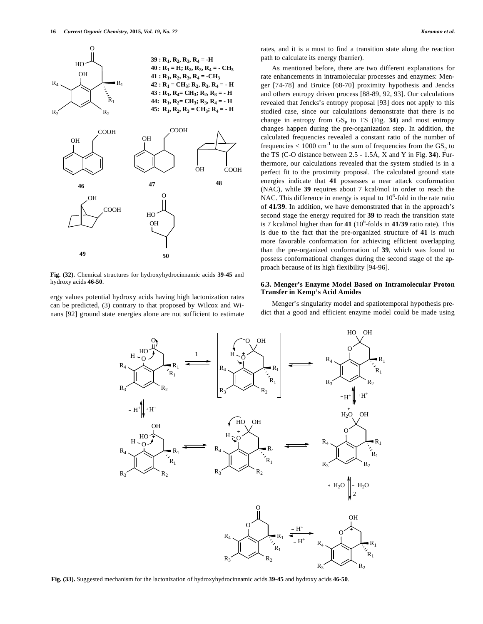

**Fig. (32).** Chemical structures for hydroxyhydrocinnamic acids **39**-**45** and hydroxy acids **46**-**50**.

ergy values potential hydroxy acids having high lactonization rates can be predicted, (3) contrary to that proposed by Wilcox and Winans [92] ground state energies alone are not sufficient to estimate rates, and it is a must to find a transition state along the reaction path to calculate its energy (barrier).

As mentioned before, there are two different explanations for rate enhancements in intramolecular processes and enzymes: Menger [74-78] and Bruice [68-70] proximity hypothesis and Jencks and others entropy driven process [88-89, 92, 93]. Our calculations revealed that Jencks's entropy proposal [93] does not apply to this studied case, since our calculations demonstrate that there is no change in entropy from  $GS_p$  to TS (Fig. 34) and most entropy changes happen during the pre-organization step. In addition, the calculated frequencies revealed a constant ratio of the number of frequencies  $< 1000 \text{ cm}^{-1}$  to the sum of frequencies from the  $GS_p$  to the TS (C-O distance between 2.5 - 1.5Å, X and Y in Fig. **34**). Furthermore, our calculations revealed that the system studied is in a perfect fit to the proximity proposal. The calculated ground state energies indicate that **41** possesses a near attack conformation (NAC), while **39** requires about 7 kcal/mol in order to reach the NAC. This difference in energy is equal to  $10<sup>6</sup>$ -fold in the rate ratio of **41**/**39**. In addition, we have demonstrated that in the approach's second stage the energy required for **39** to reach the transition state is 7 kcal/mol higher than for  $41 (10^6$ -folds in  $41/39$  ratio rate). This is due to the fact that the pre-organized structure of **41** is much more favorable conformation for achieving efficient overlapping than the pre-organized conformation of **39**, which was found to possess conformational changes during the second stage of the approach because of its high flexibility [94-96].

#### **6.3. Menger's Enzyme Model Based on Intramolecular Proton Transfer in Kemp's Acid Amides**

Menger's singularity model and spatiotemporal hypothesis predict that a good and efficient enzyme model could be made using



**Fig. (33).** Suggested mechanism for the lactonization of hydroxyhydrocinnamic acids **39**-**45** and hydroxy acids **46**-**50**.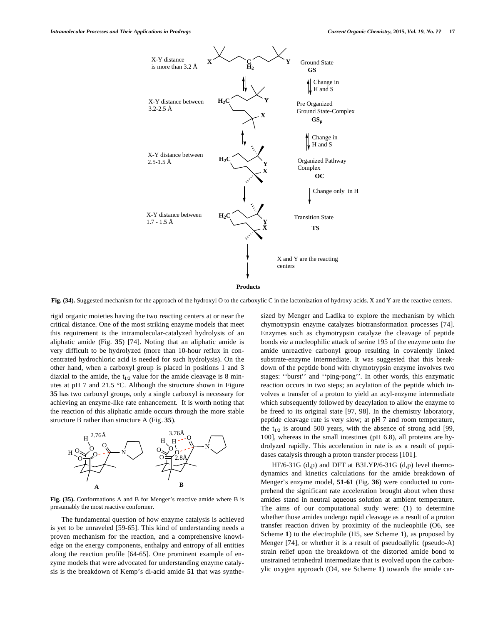

**Fig. (34).** Suggested mechanism for the approach of the hydroxyl O to the carboxylic C in the lactonization of hydroxy acids. X and Y are the reactive centers.

rigid organic moieties having the two reacting centers at or near the critical distance. One of the most striking enzyme models that meet this requirement is the intramolecular-catalyzed hydrolysis of an aliphatic amide (Fig. **35**) [74]. Noting that an aliphatic amide is very difficult to be hydrolyzed (more than 10-hour reflux in concentrated hydrochloric acid is needed for such hydrolysis). On the other hand, when a carboxyl group is placed in positions 1 and 3 diaxial to the amide, the  $t_{1/2}$  value for the amide cleavage is 8 minutes at pH 7 and 21.5 °C. Although the structure shown in Figure **35** has two carboxyl groups, only a single carboxyl is necessary for achieving an enzyme-like rate enhancement. It is worth noting that the reaction of this aliphatic amide occurs through the more stable structure B rather than structure A (Fig. **35**).



**Fig. (35).** Conformations A and B for Menger's reactive amide where B is presumably the most reactive conformer.

The fundamental question of how enzyme catalysis is achieved is yet to be unraveled [59-65]. This kind of understanding needs a proven mechanism for the reaction, and a comprehensive knowledge on the energy components, enthalpy and entropy of all entities along the reaction profile [64-65]. One prominent example of enzyme models that were advocated for understanding enzyme catalysis is the breakdown of Kemp's di-acid amide **51** that was synthesized by Menger and Ladika to explore the mechanism by which chymotrypsin enzyme catalyzes biotransformation processes [74]. Enzymes such as chymotrypsin catalyze the cleavage of peptide bonds *via* a nucleophilic attack of serine 195 of the enzyme onto the amide unreactive carbonyl group resulting in covalently linked substrate-enzyme intermediate. It was suggested that this breakdown of the peptide bond with chymotrypsin enzyme involves two stages: ''burst'' and ''ping-pong''. In other words, this enzymatic reaction occurs in two steps; an acylation of the peptide which involves a transfer of a proton to yield an acyl-enzyme intermediate which subsequently followed by deacylation to allow the enzyme to be freed to its original state [97, 98]. In the chemistry laboratory, peptide cleavage rate is very slow; at pH 7 and room temperature, the  $t_{1/2}$  is around 500 years, with the absence of strong acid [99, 100], whereas in the small intestines (pH 6.8), all proteins are hydrolyzed rapidly. This acceleration in rate is as a result of peptidases catalysis through a proton transfer process [101].

HF/6-31G (d,p) and DFT at B3LYP/6-31G (d,p) level thermodynamics and kinetics calculations for the amide breakdown of Menger's enzyme model, **51**-**61** (Fig. **36**) were conducted to comprehend the significant rate acceleration brought about when these amides stand in neutral aqueous solution at ambient temperature. The aims of our computational study were: (1) to determine whether those amides undergo rapid cleavage as a result of a proton transfer reaction driven by proximity of the nucleophile (O6, see Scheme **1**) to the electrophile (H5, see Scheme **1**), as proposed by Menger [74], or whether it is a result of pseudoallylic (pseudo-A) strain relief upon the breakdown of the distorted amide bond to unstrained tetrahedral intermediate that is evolved upon the carboxylic oxygen approach (O4, see Scheme **1**) towards the amide car-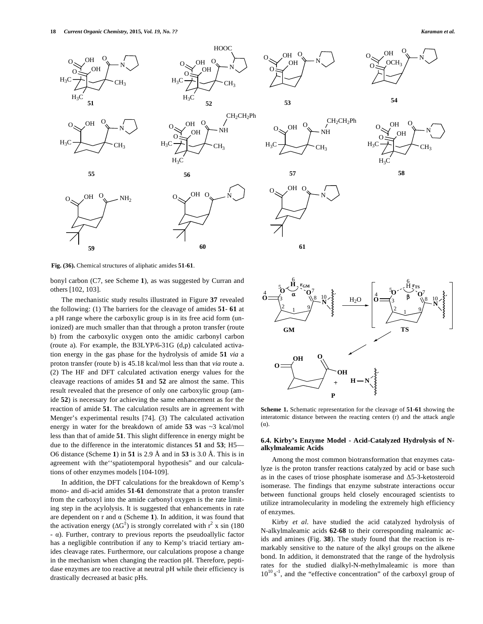N

 $\overline{\mathbf{H}}$ 

N



**Fig. (36).** Chemical structures of aliphatic amides **51**-**61**.

bonyl carbon (C7, see Scheme **1**), as was suggested by Curran and others [102, 103].

The mechanistic study results illustrated in Figure **37** revealed the following: (1) The barriers for the cleavage of amides **51**- **61** at a pH range where the carboxylic group is in its free acid form (unionized) are much smaller than that through a proton transfer (route b) from the carboxylic oxygen onto the amidic carbonyl carbon (route a). For example, the B3LYP/6-31G (d,p) calculated activation energy in the gas phase for the hydrolysis of amide **51** *via* a proton transfer (route b) is 45.18 kcal/mol less than that *via* route a. (2) The HF and DFT calculated activation energy values for the cleavage reactions of amides **51** and **52** are almost the same. This result revealed that the presence of only one carboxylic group (amide **52**) is necessary for achieving the same enhancement as for the reaction of amide **51**. The calculation results are in agreement with Menger's experimental results [74]. (3) The calculated activation energy in water for the breakdown of amide **53** was ~3 kcal/mol less than that of amide **51**. This slight difference in energy might be due to the difference in the interatomic distances **51** and **53**; H5— O6 distance (Scheme **1**) in **51** is 2.9 Å and in **53** is 3.0 Å. This is in agreement with the''spatiotemporal hypothesis" and our calculations of other enzymes models [104-109].

In addition, the DFT calculations for the breakdown of Kemp's mono- and di-acid amides **51**-**61** demonstrate that a proton transfer from the carboxyl into the amide carbonyl oxygen is the rate limiting step in the acylolysis. It is suggested that enhancements in rate are dependent on  $r$  and  $\alpha$  (Scheme 1). In addition, it was found that the activation energy  $(\Delta G^{\ddagger})$  is strongly correlated with  $r^2$  x sin (180)  $- \alpha$ ). Further, contrary to previous reports the pseudoallylic factor has a negligible contribution if any to Kemp's triacid tertiary amides cleavage rates. Furthermore, our calculations propose a change in the mechanism when changing the reaction pH. Therefore, peptidase enzymes are too reactive at neutral pH while their efficiency is drastically decreased at basic pHs.



**Scheme 1.** Schematic representation for the cleavage of **51**-**61** showing the interatomic distance between the reacting centers (r) and the attack angle  $(\alpha)$ .

#### **6.4. Kirby's Enzyme Model - Acid-Catalyzed Hydrolysis of Nalkylmaleamic Acids**

Among the most common biotransformation that enzymes catalyze is the proton transfer reactions catalyzed by acid or base such as in the cases of triose phosphate isomerase and  $\Delta$ 5-3-ketosteroid isomerase. The findings that enzyme substrate interactions occur between functional groups held closely encouraged scientists to utilize intramolecularity in modeling the extremely high efficiency of enzymes.

Kirby *et al.* have studied the acid catalyzed hydrolysis of N-alkylmaleamic acids **62**-**68** to their corresponding maleamic acids and amines (Fig. **38**). The study found that the reaction is remarkably sensitive to the nature of the alkyl groups on the alkene bond. In addition, it demonstrated that the range of the hydrolysis rates for the studied dialkyl-N-methylmaleamic is more than  $10^{10}$  s<sup>-1</sup>, and the "effective concentration" of the carboxyl group of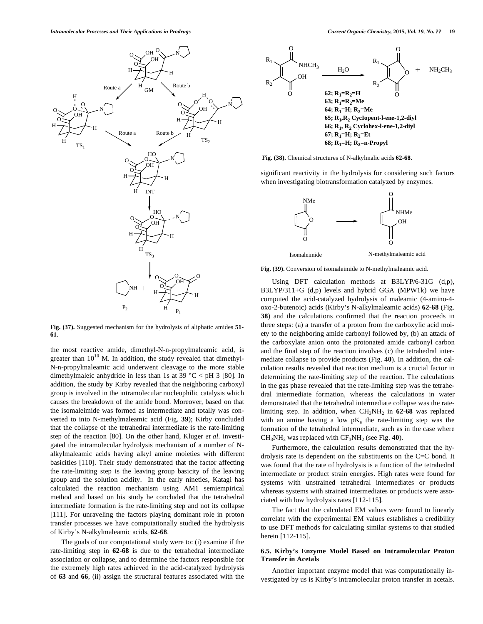

**Fig. (37).** Suggested mechanism for the hydrolysis of aliphatic amides **51**- **61**.

the most reactive amide, dimethyl-N-n-propylmaleamic acid, is greater than  $10^{10}$  M. In addition, the study revealed that dimethyl-N-n-propylmaleamic acid underwent cleavage to the more stable dimethylmaleic anhydride in less than 1s at 39  $\degree$ C < pH 3 [80]. In addition, the study by Kirby revealed that the neighboring carboxyl group is involved in the intramolecular nucleophilic catalysis which causes the breakdown of the amide bond. Moreover, based on that the isomaleimide was formed as intermediate and totally was converted to into N-methylmaleamic acid (Fig. **39**); Kirby concluded that the collapse of the tetrahedral intermediate is the rate-limiting step of the reaction [80]. On the other hand, Kluger *et al.* investigated the intramolecular hydrolysis mechanism of a number of Nalkylmaleamic acids having alkyl amine moieties with different basicities [110]. Their study demonstrated that the factor affecting the rate-limiting step is the leaving group basicity of the leaving group and the solution acidity. In the early nineties, Katagi has calculated the reaction mechanism using AM1 semiempirical method and based on his study he concluded that the tetrahedral intermediate formation is the rate-limiting step and not its collapse [111]. For unraveling the factors playing dominant role in proton transfer processes we have computationally studied the hydrolysis of Kirby's N-alkylmaleamic acids, **62**-**68**.

The goals of our computational study were to: (i) examine if the rate-limiting step in **62**-**68** is due to the tetrahedral intermediate association or collapse, and to determine the factors responsible for the extremely high rates achieved in the acid-catalyzed hydrolysis of **63** and **66**, (ii) assign the structural features associated with the



**Fig. (38).** Chemical structures of N-alkylmalic acids **62**-**68**.

significant reactivity in the hydrolysis for considering such factors when investigating biotransformation catalyzed by enzymes.



**Fig. (39).** Conversion of isomaleimide to N-methylmaleamic acid.

Using DFT calculation methods at B3LYP/6-31G (d,p), B3LYP/311+G (d,p) levels and hybrid GGA (MPW1k) we have computed the acid-catalyzed hydrolysis of maleamic (4-amino-4 oxo-2-butenoic) acids (Kirby's N-alkylmaleamic acids) **62**-**68** (Fig. **38**) and the calculations confirmed that the reaction proceeds in three steps: (a) a transfer of a proton from the carboxylic acid moiety to the neighboring amide carbonyl followed by, (b) an attack of the carboxylate anion onto the protonated amide carbonyl carbon and the final step of the reaction involves (c) the tetrahedral intermediate collapse to provide products (Fig. **40**). In addition, the calculation results revealed that reaction medium is a crucial factor in determining the rate-limiting step of the reaction. The calculations in the gas phase revealed that the rate-limiting step was the tetrahedral intermediate formation, whereas the calculations in water demonstrated that the tetrahedral intermediate collapse was the ratelimiting step. In addition, when CH<sub>3</sub>NH<sub>2</sub> in 62-68 was replaced with an amine having a low  $pK_a$  the rate-limiting step was the formation of the tetrahedral intermediate, such as in the case where CH3NH2 was replaced with CF3NH2 (see Fig. **40**).

Furthermore, the calculation results demonstrated that the hydrolysis rate is dependent on the substituents on the C=C bond. It was found that the rate of hydrolysis is a function of the tetrahedral intermediate or product strain energies. High rates were found for systems with unstrained tetrahedral intermediates or products whereas systems with strained intermediates or products were associated with low hydrolysis rates [112-115].

The fact that the calculated EM values were found to linearly correlate with the experimental EM values establishes a credibility to use DFT methods for calculating similar systems to that studied herein [112-115].

#### **6.5. Kirby's Enzyme Model Based on Intramolecular Proton Transfer in Acetals**

Another important enzyme model that was computationally investigated by us is Kirby's intramolecular proton transfer in acetals.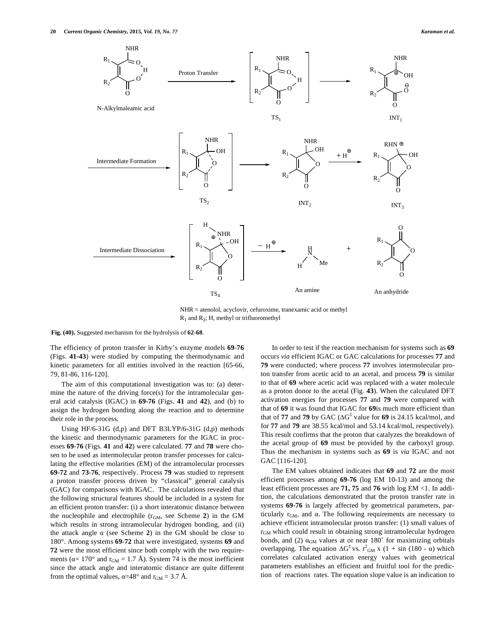

NHR = atenolol, acyclovir, cefuroxime, tranexamic acid or methyl  $R_1$  and  $R_2$ ; H, methyl or trifluoromethyl

**Fig. (40).** Suggested mechanism for the hydrolysis of **62**-**68**.

The efficiency of proton transfer in Kirby's enzyme models **69**-**76** (Figs. **41-43**) were studied by computing the thermodynamic and kinetic parameters for all entities involved in the reaction [65-66, 79, 81-86, 116-120].

The aim of this computational investigation was to: (a) determine the nature of the driving force(s) for the intramolecular general acid catalysis (IGAC) in **69-76** (Figs. **41** and **42**), and (b) to assign the hydrogen bonding along the reaction and to determine their role in the process.

Using HF/6-31G (d,p) and DFT B3LYP/6-31G (d,p) methods the kinetic and thermodynamic parameters for the IGAC in processes **69**-**76** (Figs. **41** and **42**) were calculated. **77** and **78** were chosen to be used as intermolecular proton transfer processes for calculating the effective molarities (EM) of the intramolecular processes **69**-**72** and **73**-**76**, respectively. Process **79** was studied to represent a proton transfer process driven by "classical" general catalysis (GAC) for comparisons with IGAC. The calculations revealed that the following structural features should be included in a system for an efficient proton transfer: (i) a short interatomic distance between the nucleophile and electrophile (rGM, see Scheme **2**) in the GM which results in strong intramolecular hydrogen bonding, and (ii) the attack angle  $\alpha$  (see Scheme 2) in the GM should be close to 180°. Among systems **69**-**72** that were investigated, systems **69** and **72** were the most efficient since both comply with the two requirements ( $\alpha$  = 170° and  $r_{GM}$  = 1.7 Å). System 74 is the most inefficient since the attack angle and interatomic distance are quite different from the optimal values,  $\alpha = 48^\circ$  and  $r_{GM} = 3.7 \text{ Å}.$ 

In order to test if the reaction mechanism for systems such as **69** occurs *via* efficient IGAC or GAC calculations for processes **77** and **79** were conducted; where process **77** involves intermolecular proton transfer from acetic acid to an acetal, and process **79** is similar to that of **69** where acetic acid was replaced with a water molecule as a proton donor to the acetal (Fig. **43**). When the calculated DFT activation energies for processes **77** and **79** were compared with that of **69** it was found that IGAC for **69**is much more efficient than that of **77** and **79** by GAC ( $\Delta G^{\dagger}$  value for **69** is 24.15 kcal/mol, and for **77** and **79** are 38.55 kcal/mol and 53.14 kcal/mol, respectively). This result confirms that the proton that catalyzes the breakdown of the acetal group of **69** must be provided by the carboxyl group. Thus the mechanism in systems such as **69** is *via* IGAC and not GAC [116-120].

The EM values obtained indicates that **69** and **72** are the most efficient processes among **69**-**76** (log EM 10-13) and among the least efficient processes are **71, 75** and **76** with log EM <1. In addition, the calculations demonstrated that the proton transfer rate in systems **69**-**76** is largely affected by geometrical parameters, particularly  $r<sub>GM</sub>$ , and  $\alpha$ . The following requirements are necessary to achieve efficient intramolecular proton transfer: (1) small values of rGM which could result in obtaining strong intramolecular hydrogen bonds, and (2)  $\alpha_{GM}$  values at or near 180° for maximizing orbitals overlapping. The equation  $\Delta G^{\ddagger}$  vs.  $r^2_{GM}$  x (1 + sin (180 -  $\alpha$ ) which correlates calculated activation energy values with geometrical parameters establishes an efficient and fruitful tool for the prediction of reactions rates. The equation slope value is an indication to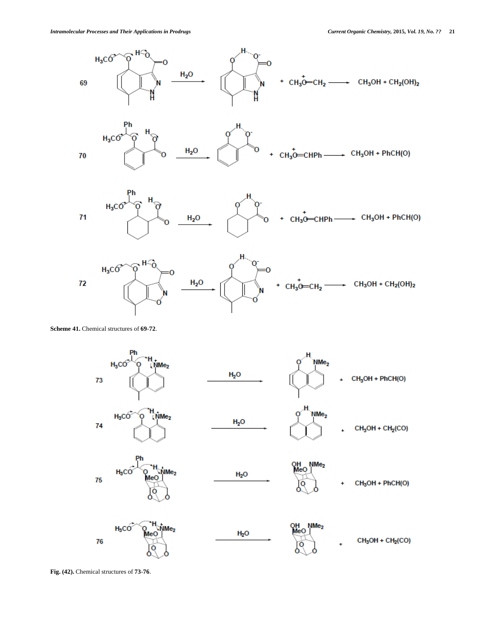

**Scheme 41.** Chemical structures of **69**-**72**.



**Fig. (42).** Chemical structures of **73**-**76**.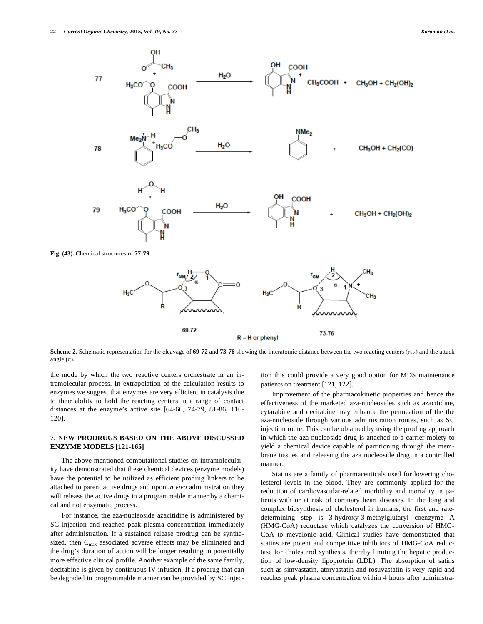

**Scheme 2.** Schematic representation for the cleavage of  $69-72$  and  $73-76$  showing the interatomic distance between the two reacting centers ( $r_{GM}$ ) and the attack angle  $(\alpha)$ .

the mode by which the two reactive centers orchestrate in an intramolecular process. In extrapolation of the calculation results to enzymes we suggest that enzymes are very efficient in catalysis due to their ability to hold the reacting centers in a range of contact distances at the enzyme's active site [64-66, 74-79, 81-86, 116- 120].

#### **7. NEW PRODRUGS BASED ON THE ABOVE DISCUSSED ENZYME MODELS [121-165]**

The above mentioned computational studies on intramolecularity have demonstrated that these chemical devices (enzyme models) have the potential to be utilized as efficient prodrug linkers to be attached to parent active drugs and upon *in vivo* administration they will release the active drugs in a programmable manner by a chemical and not enzymatic process.

For instance, the aza-nucleoside azacitidine is administered by SC injection and reached peak plasma concentration immediately after administration. If a sustained release prodrug can be synthesized, then  $C_{\text{max}}$  associated adverse effects may be eliminated and the drug's duration of action will be longer resulting in potentially more effective clinical profile. Another example of the same family, decitabine is given by continuous IV infusion. If a prodrug that can be degraded in programmable manner can be provided by SC injection this could provide a very good option for MDS maintenance patients on treatment [121, 122].

Improvement of the pharmacokinetic properties and hence the effectiveness of the marketed aza-nucleosides such as azacitidine, cytarabine and decitabine may enhance the permeation of the the aza-nucleoside through various administration routes, such as SC injection route. This can be obtained by using the prodrug approach in which the aza nucleoside drug is attached to a carrier moiety to yield a chemical device capable of partitioning through the membrane tissues and releasing the aza nucleoside drug in a controlled manner.

Statins are a family of pharmaceuticals used for lowering cholesterol levels in the blood. They are commonly applied for the reduction of cardiovascular-related morbidity and mortality in patients with or at risk of coronary heart diseases. In the long and complex biosynthesis of cholesterol in humans, the first and ratedetermining step is 3-hydroxy-3-methylglutaryl coenzyme A (HMG-CoA) reductase which catalyzes the conversion of HMG-CoA to mevalonic acid. Clinical studies have demonstrated that statins are potent and competitive inhibitors of HMG-CoA reductase for cholesterol synthesis, thereby limiting the hepatic production of low-density lipoprotein (LDL). The absorption of satins such as simvastatin, atorvastatin and rosuvastatin is very rapid and reaches peak plasma concentration within 4 hours after administra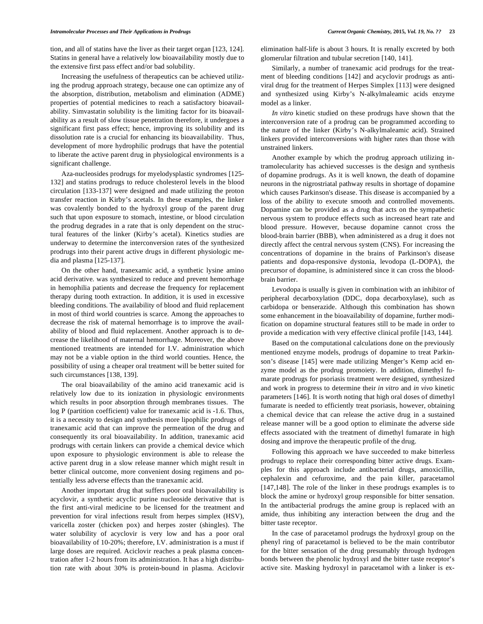tion, and all of statins have the liver as their target organ [123, 124]. Statins in general have a relatively low bioavailability mostly due to the extensive first pass effect and/or bad solubility.

Increasing the usefulness of therapeutics can be achieved utilizing the prodrug approach strategy, because one can optimize any of the absorption, distribution, metabolism and elimination (ADME) properties of potential medicines to reach a satisfactory bioavailability. Simvastatin solubility is the limiting factor for its bioavailability as a result of slow tissue penetration therefore, it undergoes a significant first pass effect; hence, improving its solubility and its dissolution rate is a crucial for enhancing its bioavailability. Thus, development of more hydrophilic prodrugs that have the potential to liberate the active parent drug in physiological environments is a significant challenge.

Aza-nucleosides prodrugs for myelodysplastic syndromes [125- 132] and statins prodrugs to reduce cholesterol levels in the blood circulation [133-137] were designed and made utilizing the proton transfer reaction in Kirby's acetals. In these examples, the linker was covalently bonded to the hydroxyl group of the parent drug such that upon exposure to stomach, intestine, or blood circulation the prodrug degrades in a rate that is only dependent on the structural features of the linker (Kirby's acetal). Kinetics studies are underway to determine the interconversion rates of the synthesized prodrugs into their parent active drugs in different physiologic media and plasma [125-137].

On the other hand, tranexamic acid, a synthetic lysine amino acid derivative. was synthesized to reduce and prevent hemorrhage in hemophilia patients and decrease the frequency for replacement therapy during tooth extraction. In addition, it is used in excessive bleeding conditions. The availability of blood and fluid replacement in most of third world countries is scarce. Among the approaches to decrease the risk of maternal hemorrhage is to improve the availability of blood and fluid replacement. Another approach is to decrease the likelihood of maternal hemorrhage. Moreover, the above mentioned treatments are intended for I.V. administration which may not be a viable option in the third world counties. Hence, the possibility of using a cheaper oral treatment will be better suited for such circumstances [138, 139].

The oral bioavailability of the amino acid tranexamic acid is relatively low due to its ionization in physiologic environments which results in poor absorption through membranes tissues. The log P (partition coefficient) value for tranexamic acid is -1.6. Thus, it is a necessity to design and synthesis more lipophilic prodrugs of tranexamic acid that can improve the permeation of the drug and consequently its oral bioavailability. In addition, tranexamic acid prodrugs with certain linkers can provide a chemical device which upon exposure to physiologic environment is able to release the active parent drug in a slow release manner which might result in better clinical outcome, more convenient dosing regimens and potentially less adverse effects than the tranexamic acid.

Another important drug that suffers poor oral bioavailability is acyclovir, a synthetic acyclic purine nucleoside derivative that is the first anti-viral medicine to be licensed for the treatment and prevention for viral infections result from herpes simplex (HSV), varicella zoster (chicken pox) and herpes zoster (shingles). The water solubility of acyclovir is very low and has a poor oral bioavailability of 10-20%; therefore, I.V. administration is a must if large doses are required. Aciclovir reaches a peak plasma concentration after 1-2 hours from its administration. It has a high distribution rate with about 30% is protein-bound in plasma. Aciclovir elimination half-life is about 3 hours. It is renally excreted by both glomerular filtration and tubular secretion [140, 141].

Similarly, a number of tranexamic acid prodrugs for the treatment of bleeding conditions [142] and acyclovir prodrugs as antiviral drug for the treatment of Herpes Simplex [113] were designed and synthesized using Kirby's N-alkylmaleamic acids enzyme model as a linker.

*In vitro* kinetic studied on these prodrugs have shown that the interconversion rate of a prodrug can be programmed according to the nature of the linker (Kirby's N-alkylmaleamic acid). Strained linkers provided interconversions with higher rates than those with unstrained linkers.

Another example by which the prodrug approach utilizing intramolecularity has achieved successes is the design and synthesis of dopamine prodrugs. As it is well known, the death of dopamine neurons in the nigrostriatal pathway results in shortage of dopamine which causes Parkinson's disease. This disease is accompanied by a loss of the ability to execute smooth and controlled movements. Dopamine can be provided as a drug that acts on the sympathetic nervous system to produce effects such as increased heart rate and blood pressure. However, because dopamine cannot cross the blood-brain barrier (BBB), when administered as a drug it does not directly affect the central nervous system (CNS). For increasing the concentrations of dopamine in the brains of Parkinson's disease patients and dopa-responsive dystonia, levodopa (L-DOPA), the precursor of dopamine, is administered since it can cross the bloodbrain barrier.

Levodopa is usually is given in combination with an inhibitor of peripheral decarboxylation (DDC, dopa decarboxylase), such as carbidopa or benserazide. Although this combination has shown some enhancement in the bioavailability of dopamine, further modification on dopamine structural features still to be made in order to provide a medication with very effective clinical profile [143, 144].

Based on the computational calculations done on the previously mentioned enzyme models, prodrugs of dopamine to treat Parkinson's disease [145] were made utilizing Menger's Kemp acid enzyme model as the prodrug promoiety. In addition, dimethyl fumarate prodrugs for psoriasis treatment were designed, synthesized and work in progress to determine their *in vitro* and *in vivo* kinetic parameters [146]. It is worth noting that high oral doses of dimethyl fumarate is needed to efficiently treat psoriasis, however, obtaining a chemical device that can release the active drug in a sustained release manner will be a good option to eliminate the adverse side effects associated with the treatment of dimethyl fumarate in high dosing and improve the therapeutic profile of the drug.

Following this approach we have succeeded to make bitterless prodrugs to replace their corresponding bitter active drugs. Examples for this approach include antibacterial drugs, amoxicillin, cephalexin and cefuroxime, and the pain killer, paracetamol [147,148]. The role of the linker in these prodrugs examples is to block the amine or hydroxyl group responsible for bitter sensation. In the antibacterial prodrugs the amine group is replaced with an amide, thus inhibiting any interaction between the drug and the bitter taste receptor.

In the case of paracetamol prodrugs the hydroxyl group on the phenyl ring of paracetamol is believed to be the main contributor for the bitter sensation of the drug presumably through hydrogen bonds between the phenolic hydroxyl and the bitter taste receptor's active site. Masking hydroxyl in paracetamol with a linker is ex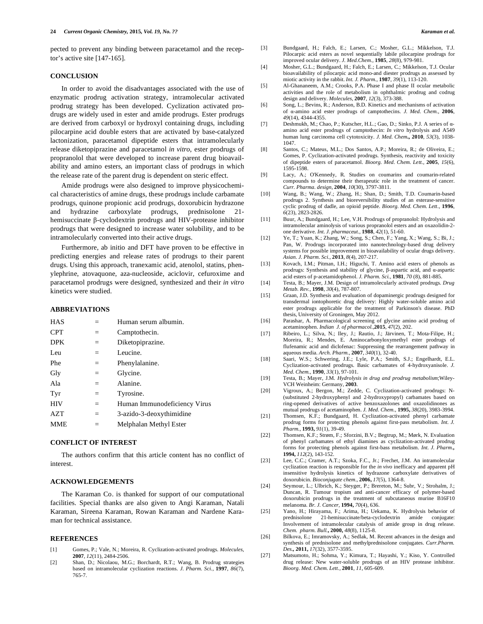pected to prevent any binding between paracetamol and the receptor's active site [147-165].

#### **CONCLUSION**

In order to avoid the disadvantages associated with the use of enzymatic prodrug activation strategy, intramolecular activated prodrug strategy has been developed. Cyclization activated prodrugs are widely used in ester and amide prodrugs. Ester prodrugs are derived from carboxyl or hydroxyl containing drugs, including pilocarpine acid double esters that are activated by base-catalyzed lactonization, paracetamol dipeptide esters that intramolecularly release diketopiprazine and paracetamol *in vitro*, ester prodrugs of propranolol that were developed to increase parent drug bioavailability and amino esters, an important class of prodrugs in which the release rate of the parent drug is dependent on steric effect.

Amide prodrugs were also designed to improve physicochemical characteristics of amine drugs, these prodrugs include carbamate prodrugs, quinone propionic acid prodrugs, doxorubicin hydrazone and hydrazine carboxylate prodrugs, prednisolone 21 hemisuccinate  $\beta$ -cyclodextrin prodrugs and HIV-protease inhibitor prodrugs that were designed to increase water solubility, and to be intramolecularly converted into their active drugs.

Furthermore, ab initio and DFT have proven to be effective in predicting energies and release rates of prodrugs to their parent drugs. Using this approach, tranexamic acid, atenolol, statins, phenylephrine, atovaquone, aza-nucleoside, aciclovir, cefuroxime and paracetamol prodrugs were designed, synthesized and their *in vitro* kinetics were studied.

#### **ABBREVIATIONS**

| <b>HAS</b> |     | Human serum albumin.         |
|------------|-----|------------------------------|
| <b>CPT</b> | $=$ | Camptothecin.                |
| <b>DPK</b> | $=$ | Diketopiprazine.             |
| Leu        | $=$ | Leucine.                     |
| Phe        | $=$ | Phenylalanine.               |
| Gly        | $=$ | Glycine.                     |
| Ala        | $=$ | Alanine.                     |
| Tyr        | $=$ | Tyrosine.                    |
| <b>HIV</b> | $=$ | Human Immunodeficiency Virus |
| AZT        | $=$ | 3-azido-3-deoxythimidine     |
| <b>MME</b> | $=$ | Melphalan Methyl Ester       |

#### **CONFLICT OF INTEREST**

The authors confirm that this article content has no conflict of interest.

#### **ACKNOWLEDGEMENTS**

The Karaman Co. is thanked for support of our computational facilities. Special thanks are also given to Angi Karaman, Natali Karaman, Sireena Karaman, Rowan Karaman and Nardene Karaman for technical assistance.

#### **REFERENCES**

- [1] Gomes, P.; Vale, N.; Moreira, R. Cyclization-activated prodrugs. *Molecules,*  **2007**, *12*(11), 2484-2506.
- [2] Shan, D.; Nicolaou, M.G.; Borchardt, R.T.; Wang, B. Prodrug strategies based on intramolecular cyclization reactions. *J. Pharm. Sci.,* **1997**, *86*(7), 765-7.
- [3] Bundgaard, H.; Falch, E.; Larsen, C.; Mosher, G.L.; Mikkelson, T.J. Pilocarpic acid esters as novel sequentially labile pilocarpine prodrugs for improved ocular delivery. *J. Med.Chem.,* **1985**, *28*(8), 979-981.
- [4] Mosher, G.L.; Bundgaard, H.; Falch, E.; Larsen, C.; Mikkelson, T.J. Ocular bioavailability of pilocarpic acid mono-and diester prodrugs as assessed by miotic activity in the rabbit. *Int. J. Pharm.,* **1987**, *39*(1), 113-120.
- [5] Al-Ghananeem, A.M.; Crooks, P.A. Phase I and phase II ocular metabolic activities and the role of metabolism in ophthalmic prodrug and codrug design and delivery. *Molecules,* **2007**, *12*(3), 373-388.
- [6] Song, L.; Bevins, R.; Anderson, B.D. Kinetics and mechanisms of activation of  $\alpha$ -amino acid ester prodrugs of camptothecins. *J. Med. Chem.*, 2006, *49*(14), 4344-4355.
- [7] Deshmukh, M.; Chao, P.; Kutscher, H.L.; Gao, D.; Sinko, P.J. A series of  $\alpha$ amino acid ester prodrugs of camptothecin: *In vitro* hydrolysis and A549 human lung carcinoma cell cytotoxicity. *J. Med. Chem***., 2010**, *53*(3), 1038- 1047.
- [8] Santos, C.; Mateus, M.L.; Dos Santos, A.P.; Moreira, R.; de Oliveira, E.; Gomes, P. Cyclization-activated prodrugs. Synthesis, reactivity and toxicity of dipeptide esters of paracetamol. *Bioorg. Med. Chem. Lett.,* **2005**, *15*(6), 1595-1598.
- [9] Lacy, A.; O'Kennedy, R. Studies on coumarins and coumarin-related compounds to determine their therapeutic role in the treatment of cancer. *Curr. Pharma. design,* **2004**, *10*(30), 3797-3811.
- [10] Wang, B.; Wang, W.; Zhang, H.; Shan, D.; Smith, T.D. Coumarin-based prodrugs 2. Synthesis and bioreversibility studies of an esterase-sensitive cyclic prodrug of dadle, an opioid peptide. *Bioorg. Med. Chem. Lett.,* **1996**, *6*(23), 2823-2826.
- [11] Buur, A.; Bundgaard, H.; Lee, V.H. Prodrugs of propranolol: Hydrolysis and intramolecular aminolysis of various propranolol esters and an oxazolidin-2 one derivative. *Int. J. pharmaceut.,* **1988**, *42*(1), 51-60.
- [12] Ye, T.; Yuan, K.; Zhang, W.; Song, S.; Chen, F.; Yang, X.; Wang, S.; Bi, J.; Pan, W. Prodrugs incorporated into nanotechnology-based drug delivery systems for possible improvement in bioavailability of ocular drugs delivery. *Asian. J. Pharm. Sci.,* **2013**, *8*(4), 207-217.
- [13] Kovach, I.M.; Pitman, I.H.; Higuchi, T. Amino acid esters of phenols as prodrugs: Synthesis and stability of glycine,  $\beta$ -aspartic acid, and  $\alpha$ -aspartic acid esters of pacetamidophenol. *J. Pharm. Sci.,* **1981**, *70* (8), 881-885.
- [14] Testa, B.; Mayer, J.M. Design of intramolecularly activated prodrugs. *Drug Metab. Rev.,* **1998**, *30*(4), 787-807.
- [15] Graan, J.D. Synthesis and evaluation of dopaminergic prodrugs designed for transdermal iontophoretic drug delivery: Highly water-soluble amino acid ester prodrugs applicable for the treatment of Parkinson's disease. PhD thesis, University of Groningen, May 2012.
- [16] Parashar, A. Pharmacological screening of glycine amino acid prodrug of acetaminophen. *Indian J. of pharmacol.,***2015**, *47*(2), 202.
- [17] Ribeiro, L.; Silva, N.; Iley, J.; Rautio, J.; Järvinen, T.; Mota-Filipe, H.; Moreira, R.; Mendes, E. Aminocarbonyloxymethyl ester prodrugs of flufenamic acid and diclofenac: Suppressing the rearrangement pathway in aqueous media. *Arch. Pharm.,* **2007**, *340*(1), 32-40.
- [18] Saari, W.S.; Schwering, J.E.; Lyle, P.A.; Smith, S.J.; Engelhardt, E.L. Cyclization-activated prodrugs. Basic carbamates of 4-hydroxyanisole. *J. Med. Chem.,* **1990**, *33*(1), 97-101.
- [19] Testa, B.; Mayer, J.M. *Hydrolysis in drug and prodrug metabolism*;Wiley-VCH Weinheim: Germany, **2003**.
- [20] Vigroux, A.; Bergon, M.; Zedde, C. Cyclization-activated prodrugs: N- (substituted 2-hydroxyphenyl and 2-hydroxypropyl) carbamates based on ring-opened derivatives of active benzoxazolones and oxazolidinones as mutual prodrugs of acetaminophen. *J. Med. Chem.,* **1995,** *38*(20), 3983-3994.
- [21] Thomsen, K.F.; Bundgaard, H. Cyclization-activated phenyl carbamate prodrug forms for protecting phenols against first-pass metabolism. *Int. J. Pharm.,* **1993,** *91*(1), 39-49.
- [22] Thomsen, K.F.; Strøm, F.; Sforzini, B.V.; Begtrup, M.; Mørk, N. Evaluation of phenyl carbamates of ethyl diamines as cyclization-activated prodrug forms for protecting phenols against first-bass metabolism. *Int. J. Pharm.***, 1994,** *112*(2), 143-152.
- [23] Lee, C.C.; Cramer, A.T.; Szoka, F.C., Jr.; Frechet, J.M. An intramolecular cyclization reaction is responsible for the *in vivo* inefficacy and apparent pH insensitive hydrolysis kinetics of hydrazone carboxylate derivatives of doxorubicin. *Bioconjugate chem.,* **2006,** *17*(5), 1364-8.
- [24] Seymour, L.; Ulbrich, K.; Steyger, P.; Brereton, M.; Subr, V.; Strohalm, J.; Duncan, R. Tumour tropism and anti-cancer efficacy of polymer-based doxorubicin prodrugs in the treatment of subcutaneous murine B16F10 melanoma. *Br. J. Cancer,* **1994,** *70*(4), 636.
- [25] Yano, H.; Hirayama, F.; Arima, H.; Uekama, K. Hydrolysis behavior of prednisolone 21-hemisuccinate/beta-cyclodextrin amide conjugate: Involvement of intramolecular catalysis of amide group in drug release. *Chem. pharm. Bull.***, 2000,** *48*(8), 1125-8.
- [26] Bilkova, E.; Imramovsky, A.; Sedlak, M. Recent advances in the design and synthesis of prednisolone and methylprednisolone conjugates. *Curr.Pharm. Des.,* **2011,** *17*(32), 3577-3595.
- [27] Matsumoto, H.; Sohma, Y.; Kimura, T.; Hayashi, Y.; Kiso, Y. Controlled drug release: New water-soluble prodrugs of an HIV protease inhibitor. *Bioorg. Med. Chem. Lett.,* **2001***, 11*, 605-609.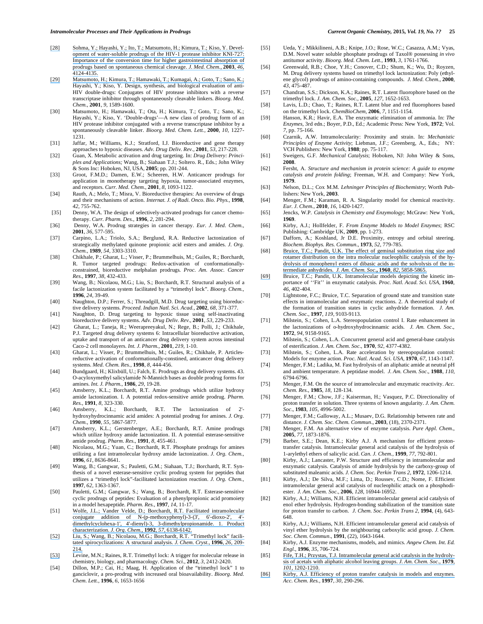- [\[28\] Sohma, Y.; Hayashi, Y.; Ito, T.; Matsumoto, H.; Kimura, T.; Kiso, Y. Devel](https://www.researchgate.net/publication/10584352_Development_of_Water-Soluble_Prodrugs_of_the_HIV-1_Protease_Inhibitor_KNI-727_Importance_of_the_Conversion_Time_for_Higher_Gastrointestinal_Absorption_of_Prodrugs_Based_on_Spontaneous_Chemical_Cleavag?el=1_x_8&enrichId=rgreq-9a84afeb262c73fbc4d15da8f0192f93-XXX&enrichSource=Y292ZXJQYWdlOzI4MzU4MzMzNDtBUzoyOTU3MTU3NzIzNTQ1NzdAMTQ0NzUxNTU0Mjc4Nw==)[opment of water-soluble prodrugs of the HIV-1 protease inhibitor KNI-727:](https://www.researchgate.net/publication/10584352_Development_of_Water-Soluble_Prodrugs_of_the_HIV-1_Protease_Inhibitor_KNI-727_Importance_of_the_Conversion_Time_for_Higher_Gastrointestinal_Absorption_of_Prodrugs_Based_on_Spontaneous_Chemical_Cleavag?el=1_x_8&enrichId=rgreq-9a84afeb262c73fbc4d15da8f0192f93-XXX&enrichSource=Y292ZXJQYWdlOzI4MzU4MzMzNDtBUzoyOTU3MTU3NzIzNTQ1NzdAMTQ0NzUxNTU0Mjc4Nw==)  [Importance of the conversion time for higher gastrointestinal absorption of](https://www.researchgate.net/publication/10584352_Development_of_Water-Soluble_Prodrugs_of_the_HIV-1_Protease_Inhibitor_KNI-727_Importance_of_the_Conversion_Time_for_Higher_Gastrointestinal_Absorption_of_Prodrugs_Based_on_Spontaneous_Chemical_Cleavag?el=1_x_8&enrichId=rgreq-9a84afeb262c73fbc4d15da8f0192f93-XXX&enrichSource=Y292ZXJQYWdlOzI4MzU4MzMzNDtBUzoyOTU3MTU3NzIzNTQ1NzdAMTQ0NzUxNTU0Mjc4Nw==)  [prodrugs based on spontaneous chemical cleavage.](https://www.researchgate.net/publication/10584352_Development_of_Water-Soluble_Prodrugs_of_the_HIV-1_Protease_Inhibitor_KNI-727_Importance_of_the_Conversion_Time_for_Higher_Gastrointestinal_Absorption_of_Prodrugs_Based_on_Spontaneous_Chemical_Cleavag?el=1_x_8&enrichId=rgreq-9a84afeb262c73fbc4d15da8f0192f93-XXX&enrichSource=Y292ZXJQYWdlOzI4MzU4MzMzNDtBUzoyOTU3MTU3NzIzNTQ1NzdAMTQ0NzUxNTU0Mjc4Nw==) *J. Med. Chem.,* **2003***, 46*, [4124-4135.](https://www.researchgate.net/publication/10584352_Development_of_Water-Soluble_Prodrugs_of_the_HIV-1_Protease_Inhibitor_KNI-727_Importance_of_the_Conversion_Time_for_Higher_Gastrointestinal_Absorption_of_Prodrugs_Based_on_Spontaneous_Chemical_Cleavag?el=1_x_8&enrichId=rgreq-9a84afeb262c73fbc4d15da8f0192f93-XXX&enrichSource=Y292ZXJQYWdlOzI4MzU4MzMzNDtBUzoyOTU3MTU3NzIzNTQ1NzdAMTQ0NzUxNTU0Mjc4Nw==)
- [\[29\] Matsumoto, H.; Kimura, T.; Hamawaki, T.; Kumagai, A.; Goto, T.; Sano, K.;](https://www.researchgate.net/publication/10584352_Development_of_Water-Soluble_Prodrugs_of_the_HIV-1_Protease_Inhibitor_KNI-727_Importance_of_the_Conversion_Time_for_Higher_Gastrointestinal_Absorption_of_Prodrugs_Based_on_Spontaneous_Chemical_Cleavag?el=1_x_8&enrichId=rgreq-9a84afeb262c73fbc4d15da8f0192f93-XXX&enrichSource=Y292ZXJQYWdlOzI4MzU4MzMzNDtBUzoyOTU3MTU3NzIzNTQ1NzdAMTQ0NzUxNTU0Mjc4Nw==)  Hayashi, Y.; Kiso, Y. Design, synthesis, and biological evaluation of anti-HIV double-drugs: Conjugates of HIV protease inhibitors with a reverse transcriptase inhibitor through spontaneously cleavable linkers. *Bioorg. Med. Chem.,* **2001***, 9*, 1589-1600.
- [30] Matsumoto, H.; Hamawaki, T.; Ota, H.; Kimura, T.; Goto, T.; Sano, K.; Hayashi, Y.; Kiso, Y. 'Double-drugs'—A new class of prodrug form of an HIV protease inhibitor conjugated with a reverse transcriptase inhibitor by a spontaneously cleavable linker. *Bioorg. Med. Chem. Lett.,* **2000***, 10*, 1227- 1231.
- [31] Jaffar, M.; Williams, K.J.; Stratford, I.J. Bioreductive and gene therapy approaches to hypoxic diseases. *Adv. Drug Deliv. Rev.,* **2001***, 53*, 217-228.
- [32] Guan, X. Metabolic activation and drug targeting. In: *Drug Delivery: Principles and Applications;* Wang, B.; Siahaan T.J.; Soltero. R., Eds.; John Wiley & Sons Inc: Hoboken, NJ, USA, **2005**; pp. 201-244.
- [33] Groot, F.M.D.; Damen, E.W.; Scheeren, H.W. Anticancer prodrugs for application in monotherapy targeting hypoxia, tumor-associated enzymes, and receptors. *Curr. Med. Chem.,* **2001***, 8*, 1093-1122.
- [34] Rauth, A.; Melo, T.; Misra, V. Bioreductive therapies: An overview of drugs and their mechanisms of action. *Internat. J. of Radi. Onco. Bio. Phys.,* **1998***, 42*, 755-762.
- [35] Denny, W.A. The design of selectively-activated prodrugs for cancer chemotherapy. *Curr. Pharm. Des.,* **1996***, 2*, 281-294.
- [36] Denny, W.A. Prodrug strategies in cancer therapy. *Eur. J. Med. Chem.,*  **2001***, 36*, 577-595.
- [37] Carpino, L.A.; Triolo, S.A.; Berglund, R.A. Reductive lactonization of strategically methylated quinone propionic acid esters and amides. *J. Org. Chem.,* **1989***, 54*, 3303-3310.
- [38] Chikhale, P.; Gharat, L.; Visser, P.; Brummelhuis, M.; Guiles, R.; Borchardt, R. Tumor targeted prodrugs: Redox-activation of conformationallyconstrained, bioreductive melphalan prodrugs*. Proc. Am. Assoc. Cancer Res*., **1997**, *38*, 432-433.
- [39] Wang, B.; Nicolaou, M.G.; Liu, S.; Borchardt, R.T. Structural analysis of a facile lactonization system facilitated by a "trimethyl lock". *Bioorg. Chem.,*  **1996***, 24*, 39-49.
- [40] Naughton, D.P.; Ferrer, S.; Threadgill, M.D. Drug targeting using bioreductive delivery systems. *Proceed. Indian Natl. Sci. Acad.,* **2002***, 68*, 371-377.
- [41] Naughton, D. Drug targeting to hypoxic tissue using self-inactivating bioreductive delivery systems. *Adv. Drug Deliv. Rev.,* **2001***, 53*, 229-233.
- [42] Gharat, L.; Taneja, R.; Weerapreeyakul, N.; Rege, B.; Polli, J.; Chikhale, P.J. Targeted drug delivery systems 6: Intracellular bioreductive activation, uptake and transport of an anticancer drug delivery system across intestinal Caco-2 cell monolayers. *Int. J. Pharm.,* **2001***, 219*, 1-10.
- [43] Gharat, L.; Visser, P.; Brummelhuis, M.; Guiles, R.; Chikhale, P. Articlesreductive activation of conformationally-constined, anticancer drug delivery systems. *Med. Chem. Res.,* **1998***, 8*, 444-456.
- [44] Bundgaard, H.; Klixbüll, U.; Falch, E. Prodrugs as drug delivery systems. 43. O-acyloxymethyl salicylamide N-Mannich bases as double prodrug forms for amines. *Int. J. Pharm.,* **1986***, 29*, 19-28.
- [45] Amsberry, K.L.; Borchardt, R.T. Amine prodrugs which utilize hydroxy amide lactonization. I. A potential redox-sensitive amide prodrug. *Pharm. Res.,* **1991***, 8*, 323-330.
- [46] Amsberry, K.L.; Borchardt, R.T. The lactonization of 2' hydroxyhydrocinnamic acid amides: A potential prodrug for amines. *J. Org. Chem.,* **1990***, 55*, 5867-5877.
- [47] Amsberry, K.L.; Gerstenberger, A.E.; Borchardt, R.T. Amine prodrugs which utilize hydroxy amide lactonization. II. A potential esterase-sensitive amide prodrug. *Pharm. Res.,* **1991***, 8*, 455-461.
- [48] Nicolaou, M.G.; Yuan, C.; Borchardt, R.T. Phosphate prodrugs for amines utilizing a fast intramolecular hydroxy amide lactonization. *J. Org. Chem.,*  **1996***, 61*, 8636-8641.
- [49] Wang, B.; Gangwar, S.; Pauletti, G.M.; Siahaan, T.J.; Borchardt, R.T. Synthesis of a novel esterase-sensitive cyclic prodrug system for peptides that utilizes a "trimethyl lock"-facilitated lactonization reaction. *J. Org. Chem.,*  **1997***, 62*, 1363-1367.
- [50] Pauletti, G.M.; Gangwar, S.; Wang, B.; Borchardt, R.T. Esterase-sensitive cyclic prodrugs of peptides: Evaluation of a phenylpropionic acid promoiety in a model hexapeptide. *Pharm. Res.,* **1997***, 14*, 11-17.
- [51] [Wolfe, J.L.; Vander Velde, D.; Borchardt, R.T. Facilitated intramolecular](https://www.researchgate.net/publication/231568653_Facilitated_intramolecular_conjugate_addition_of_N-p-methoxyphenyl-3-3)  [conjugate addition of N-\(p-methoxyphenyl\)-3-\(3', 6'-dioxo-2', 4'](https://www.researchgate.net/publication/231568653_Facilitated_intramolecular_conjugate_addition_of_N-p-methoxyphenyl-3-3) [dimethylcyclohexa-1', 4'-dienyl\)-3, 3-dimethylpropionamide. 1. Product](https://www.researchgate.net/publication/231568653_Facilitated_intramolecular_conjugate_addition_of_N-p-methoxyphenyl-3-3)  [characterization.](https://www.researchgate.net/publication/231568653_Facilitated_intramolecular_conjugate_addition_of_N-p-methoxyphenyl-3-3) *J. Org. Chem.,* **1992***, 57*, 6138-6142.
- [\[52\] Liu, S.; Wang, B.; Nicolaou, M.G.; Borchardt, R.T. "Trimethyl lock" facili](https://www.researchgate.net/publication/231568653_Facilitated_intramolecular_conjugate_addition_of_N-p-methoxyphenyl-3-3)[tated spirocyclizations: A structural analysis.](https://www.researchgate.net/publication/231568653_Facilitated_intramolecular_conjugate_addition_of_N-p-methoxyphenyl-3-3) *J. Chem. Cryst.,* **1996***, 26*, 209- [214.](https://www.researchgate.net/publication/231568653_Facilitated_intramolecular_conjugate_addition_of_N-p-methoxyphenyl-3-3)
- [\[53\]](https://www.researchgate.net/publication/231568653_Facilitated_intramolecular_conjugate_addition_of_N-p-methoxyphenyl-3-3) Levine, M.N.; Raines, R.T. Trimethyl lock: A trigger for molecular release in chemistry, biology, and pharmacology. *Chem. Sci.,* **2012***, 3*, 2412-2420.
- [54] Dillon, M.P.; Cai, H.; Maag, H. Application of the "trimethyl lock" 1 to ganciclovir, a pro-prodrug with increased oral bioavailability. *Bioorg. Med. Chem. Lett.,* **1996***, 6*, 1653-1656
- [55] Ueda, Y.; Mikkilineni, A.B.; Knipe, J.O.; Rose, W.C.; Casazza, A.M.; Vyas, D.M. Novel water soluble phosphate prodrugs of Taxol® possessing *in vivo* antitumor activity. *Bioorg. Med. Chem. Lett.,* **1993***, 3*, 1761-1766.
- [56] Greenwald, R.B.; Choe, Y.H.; Conover, C.D.; Shum, K.; Wu, D.; Royzen, M. Drug delivery systems based on trimethyl lock lactonization: Poly (ethylene glycol) prodrugs of amino-containing compounds. *J. Med. Chem.,* **2000***, 43*, 475-487.
- [57] Chandran, S.S.; Dickson, K.A.; Raines, R.T. Latent fluorophore based on the trimethyl lock. *J. Am. Chem. Soc.,* **2005***, 127*, 1652-1653.
- [58] Lavis, L.D.; Chao, T.; Raines, R.T. Latent blue and red fluorophores based on the trimethyl lock. *ChemBioChem,* **2006***, 7*, 1151-1154.
- [59] Hanson, K.R.; Havir, E.A. The enzymatic elimination of ammonia. In: *The Enzymes*, 3rd edn.; Boyer, P.D., Ed.; Academic Press: New York, **1972**; Vol. *7,* pp. 75-166.
- [60] Czarnik, A.W. Intramolecularity: Proximity and strain. In: *Mechanistic Principles of Enzyme Activity*; Liebman, J.F.; Greenberg, A., Eds.; NY: VCH Publishers: New York, **1988**; pp. 75-117.
- [61] Sweigers, G.F. *Mechanical Catalysis*; Hoboken, NJ: John Wiley & Sons, **2008**.
- [62] Fersht, A. *Structure and mechanism in protein science: A guide to enzyme catalysis and protein folding*; Freeman, W.H. and Company: New York, **1979**.
- [63] Nelson, D.L.; Cox M.M. *Lehninger Principles of Biochemistry*; Worth Publishers: New York, **2003**.
- [64] Menger, F.M.; Karaman, R. A. Singularity model for chemical reactivity. *Eur. J. Chem.,* **2010**, *16*, 1420-1427.
- [65] Jencks, W.P. *Catalysis in Chemistry and Enzymology*; McGraw: New York, **1969**.
- [66] Kirby, A.J.; Hollfelder, F. *From Enzyme Models to Model Enzymes*; RSC Publishing: Cambridge UK, **2009**, pp. 1-273.
- [67] Dafforn, A.; Koshland, Jr D.E. Proximity, entropy and orbital steering. *Biochem. Biophys. Res. Commun.*, **1973**, *52*, 779-785.
- [68] Bruice, T.C.; Pandit, U.K. The effect of geminal substitution ring size and [rotamer distribution on the intra molecular nucleophilic catalysis of the hy](https://www.researchgate.net/publication/231504065_The_Effect_of_Geminal_Substitution_Ring_Size_and_Rotamer_Distribution_on_the_Intramolecular_Nucleophilic_Catalysis_of_the_Hydrolysis_of_Monophenyl_Esters_of_Dibasic_Acids_and_the_Solvolysis_of_the_Int?el=1_x_8&enrichId=rgreq-9a84afeb262c73fbc4d15da8f0192f93-XXX&enrichSource=Y292ZXJQYWdlOzI4MzU4MzMzNDtBUzoyOTU3MTU3NzIzNTQ1NzdAMTQ0NzUxNTU0Mjc4Nw==)[drolysis of monophenyl esters of dibasic acids and the solvolysis of the in](https://www.researchgate.net/publication/231504065_The_Effect_of_Geminal_Substitution_Ring_Size_and_Rotamer_Distribution_on_the_Intramolecular_Nucleophilic_Catalysis_of_the_Hydrolysis_of_Monophenyl_Esters_of_Dibasic_Acids_and_the_Solvolysis_of_the_Int?el=1_x_8&enrichId=rgreq-9a84afeb262c73fbc4d15da8f0192f93-XXX&enrichSource=Y292ZXJQYWdlOzI4MzU4MzMzNDtBUzoyOTU3MTU3NzIzNTQ1NzdAMTQ0NzUxNTU0Mjc4Nw==)[termediate anhydrides.](https://www.researchgate.net/publication/231504065_The_Effect_of_Geminal_Substitution_Ring_Size_and_Rotamer_Distribution_on_the_Intramolecular_Nucleophilic_Catalysis_of_the_Hydrolysis_of_Monophenyl_Esters_of_Dibasic_Acids_and_the_Solvolysis_of_the_Int?el=1_x_8&enrichId=rgreq-9a84afeb262c73fbc4d15da8f0192f93-XXX&enrichSource=Y292ZXJQYWdlOzI4MzU4MzMzNDtBUzoyOTU3MTU3NzIzNTQ1NzdAMTQ0NzUxNTU0Mjc4Nw==) *J. Am. Chem. Soc*.**, 1960**, *82*, 5858-5865.
- [\[69\]](https://www.researchgate.net/publication/231504065_The_Effect_of_Geminal_Substitution_Ring_Size_and_Rotamer_Distribution_on_the_Intramolecular_Nucleophilic_Catalysis_of_the_Hydrolysis_of_Monophenyl_Esters_of_Dibasic_Acids_and_the_Solvolysis_of_the_Int?el=1_x_8&enrichId=rgreq-9a84afeb262c73fbc4d15da8f0192f93-XXX&enrichSource=Y292ZXJQYWdlOzI4MzU4MzMzNDtBUzoyOTU3MTU3NzIzNTQ1NzdAMTQ0NzUxNTU0Mjc4Nw==) Bruice, T.C.; Pandit, U.K. Intramolecular models depicting the kinetic importance of ''Fit'' in enzymatic catalysis. *Proc. Natl. Acad. Sci. USA,* **1960**, *46*, 402-404.
- [70] Lightstone, F.C.; Bruice, T.C. Separation of ground state and transition state effects in intramolecular and enzymatic reactions. 2. A theoretical study of the formation of transition states in cyclic anhydride formation. *J. Am. Chem. Soc*., **1997**, *119*, 9103-9113.
- [71] Milstein, S.; Cohen, L.A. Stereopopulation control I. Rate enhancement in the lactonizations of o-hydroxyhydrocinnamic acids. *J. Am. Chem. Soc*., **1972**, *94*, 9158-9165.
- [72] Milstein, S.; Cohen, L.A. Concurrent general acid and general-base catalysis of esterification. *J. Am. Chem. Soc*., **1970**, *92*, 4377-4382.
- [73] Milstein, S.; Cohen, L.A. Rate acceleration by stereopopulation control: Models for enzyme action. *Proc. Natl. Acad. Sci. USA,* **1970**, *67*, 1143-1147.
- [74] Menger, F.M.; Ladika, M. Fast hydrolysis of an aliphatic amide at neutral pH and ambient temperature. A peptidase model. *J. Am. Chem. Soc*., **1988**, *110*, 6794-6796.
- [75] Menger, F.M. On the source of intramolecular and enzymatic reactivity. *Acc. Chem. Res*., **1985**, *18*, 128-134.
- [76] Menger, F.M.; Chow, J.F.; Kaiserman, H.; Vasquez, P.C. Directionality of proton transfer in solution. Three systems of known angularity. *J. Am. Chem. Soc*., **1983**, *105*, 4996-5002.
- [77] Menger, F.M.; Galloway, A.L.; Musaev, D.G. Relationship between rate and distance. *J. Chem. Soc. Chem. Commun*., **2003**, (18), 2370-2371.
- [78] Menger, F.M. An alternative view of enzyme catalysis. *Pure Appl. Chem*., **2005**, *77*, 1873-1876.
- [79] Barber, S.E.; Dean, K.E.; Kirby A.J. A mechanism for efficient protontransfer catalysis. Intramolecular general acid catalysis of the hydrolysis of 1-arylethyl ethers of salicylic acid. *Can. J. Chem.,* **1999**, *77*, 792-801.
- [80] Kirby, A.J.; Lancaster, P.W. Structure and efficiency in intramolecular and enzymatic catalysis. Catalysis of amide hydrolysis by the carboxy-group of substituted maleamic acids. *J. Chem. Soc. Perkin Trans 2,* **1972**, 1206-1214.
- [81] Kirby, A.J.; De Silva, M.F.; Lima, D.; Roussev, C.D.; Nome, F. Efficient intramolecular general acid catalysis of nucleophilic attack on a phosphodiester. *J. Am. Chem. Soc*., **2006**, *128*, 16944-16952.
- [82] Kirby, A.J.; Williams, N.H. Efficient intramolecular general acid catalysis of enol ether hydrolysis. Hydrogen-bonding stabilization of the transition state for proton transfer to carbon. *J. Chem. Soc. Perkin Trans 2,* **1994**, (4), 643- 648.
- [83] Kirby, A.J.; Williams, N.H. Efficient intramolecular general acid catalysis of vinyl ether hydrolysis by the neighbouring carboxylic acid group. *J. Chem. Soc. Chem. Commun*., **1991**, (22), 1643-1644.
- [84] Kirby, A.J. Enzyme mechanisms, models, and mimics. *Angew Chem. Int. Ed. Engl*., **1996**, *35*, 706-724.
- [85] [Fife, T.H.; Przystas, T.J. Intramolecular general acid catalysis in the hydroly](https://www.researchgate.net/publication/231462499_Intramolecular_general_acid_catalysis_in_the_hydrolysis_of_acetals_with_aliphatic_alcohol_leaving_groups?el=1_x_8&enrichId=rgreq-9a84afeb262c73fbc4d15da8f0192f93-XXX&enrichSource=Y292ZXJQYWdlOzI4MzU4MzMzNDtBUzoyOTU3MTU3NzIzNTQ1NzdAMTQ0NzUxNTU0Mjc4Nw==)[sis of acetals with aliphatic alcohol leaving groups.](https://www.researchgate.net/publication/231462499_Intramolecular_general_acid_catalysis_in_the_hydrolysis_of_acetals_with_aliphatic_alcohol_leaving_groups?el=1_x_8&enrichId=rgreq-9a84afeb262c73fbc4d15da8f0192f93-XXX&enrichSource=Y292ZXJQYWdlOzI4MzU4MzMzNDtBUzoyOTU3MTU3NzIzNTQ1NzdAMTQ0NzUxNTU0Mjc4Nw==) *J. Am. Chem. Soc*., **1979**, *101*[, 1202-1210.](https://www.researchgate.net/publication/231462499_Intramolecular_general_acid_catalysis_in_the_hydrolysis_of_acetals_with_aliphatic_alcohol_leaving_groups?el=1_x_8&enrichId=rgreq-9a84afeb262c73fbc4d15da8f0192f93-XXX&enrichSource=Y292ZXJQYWdlOzI4MzU4MzMzNDtBUzoyOTU3MTU3NzIzNTQ1NzdAMTQ0NzUxNTU0Mjc4Nw==)
- [\[86\] Kirby, A.J. Efficiency of proton transfer catalysis in models and enzymes.](https://www.researchgate.net/publication/231462499_Intramolecular_general_acid_catalysis_in_the_hydrolysis_of_acetals_with_aliphatic_alcohol_leaving_groups?el=1_x_8&enrichId=rgreq-9a84afeb262c73fbc4d15da8f0192f93-XXX&enrichSource=Y292ZXJQYWdlOzI4MzU4MzMzNDtBUzoyOTU3MTU3NzIzNTQ1NzdAMTQ0NzUxNTU0Mjc4Nw==)  *Acc. Chem. Res.,* **1997**, *30*, 290-296.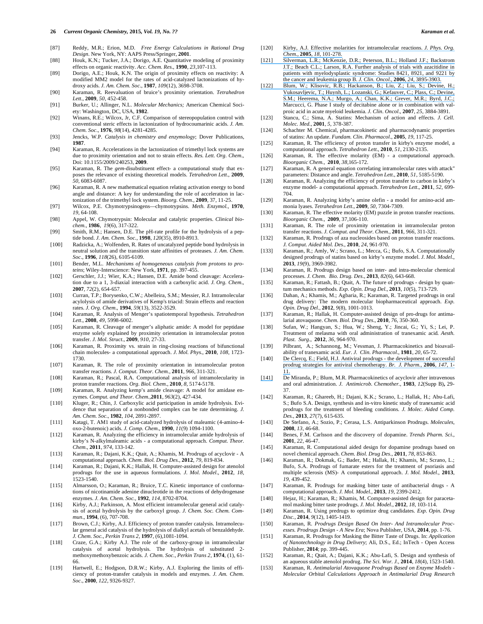- [87] Reddy, M.R.; Erion, M.D. *Free Energy Calculations in Rational Drug Design.* New York, NY: AAPS Press/Springer, **2001**.
- [88] Houk, K.N.; Tucker, J.A.; Dorigo, A.E. Quantitative modeling of proximity effects on organic reactivity. *Acc. Chem. Res*., **1990**, *23*,107-113.
- [89] Dorigo, A.E.; Houk, K.N. The origin of proximity effects on reactivity: A modified MM2 model for the rates of acid-catalyzed lactonizations of hydroxy acids. *J. Am. Chem. Soc*., **1987**, *109*(12), 3698-3708.
- [90] Karaman, R. Reevaluation of bruice's proximity orientation. *Tetrahedron Lett*., **2009**, *50*, 452-458.
- [91] Burker, U.; Allinger, N.L. *Molecular Mechanics;* American Chemical Society: Washington, DC, USA, **1982**.
- [92] Winans, R.E.; Wilcox, Jr, C.F. Comparison of stereopopulation control with conventional steric effects in lactonization of hydrocoumarinic acids. *J. Am. Chem. Soc*., **1976**, *98*(14), 4281-4285.
- [93] Jencks, W.P. *Catalysis in chemistry and enzymology*; Dover Publications, **1987**.
- [94] Karaman, R. Accelerations in the lactonization of trimethyl lock systems are due to proximity orientation and not to strain effects. *Res. Lett. Org. Chem*., Doi: 10.1155/2009/240253, **2009**.
- [95] Karaman, R. The *gem*-disubstituent effect- a computational study that exposes the relevance of existing theoretical models. *Tetrahedron Lett*., **2009**, *50*, 6083-6087.
- [96] Karaman, R. A new mathematical equation relating activation energy to bond angle and distance: A key for understanding the role of acceleration in lactonization of the trimethyl lock system. *Bioorg. Chem.,* **2009**, 37, 11-25.
- [97] Wilcox, P.E. Chymotrypsinogens—chymotrypsins. *Meth. Enzymol.,* **1970**, *19*, 64-108.
- [98] Appel, W. Chymotrypsin: Molecular and catalytic properties. *Clinical biochem.,* **1986**, *19*(6), 317-322.
- [99] Smith, R.M.; Hansen, D.E. The pH-rate profile for the hydrolysis of a peptide bond. *J. Am. Chem. Soc.,* **1998**, *120*(35), 8910-8913.
- [100] Radzicka, A.; Wolfenden, R. Rates of uncatalyzed peptide bond hydrolysis in neutral solution and the transition state affinities of proteases. *J. Am. Chem. Soc*., **1996**, *118*(26), 6105-6109.
- [101] Bender, M.L. *Mechanisms of homogeneous catalysis from protons to proteins*; Wiley-Interscience: New York, **1971**, pp. 397-455.
- [102] Gerschler, J.J.; Wier, K.A.; Hansen, D.E. Amide bond cleavage: Acceleration due to a 1, 3-diaxial interaction with a carboxylic acid. *J. Org. Chem*., **2007**, *72*(2), 654-657.
- [103] Curran, T.P.; Borysenko, C.W.; Abelleira, S.M.; Messier, R.J. Intramolecular acylolysis of amide derivatives of Kemp's triacid: Strain effects and reaction rates. *J. Org. Chem*., **1994**, *59*(13), 3522-3529.
- [104] Karaman, R. Analysis of Menger's spatiotemporal hypothesis. *Tetrahedron Lett*., **2008**, *49*, 5998-6002.
- [105] Karaman, R. Cleavage of menger's aliphatic amide: A model for peptidase enzyme solely explained by proximity orientation in intramolecular proton transfer. *J. Mol. Struct*., **2009**, *910*, 27-33.
- [106] Karaman, R. Proximity vs. strain in ring-closing reactions of bifunctional chain molecules- a computational approach. *J. Mol. Phys*., **2010**, *108*, 1723- 1730.
- [107] Karaman, R. The role of proximity orientation in intramolecular proton transfer reactions*. J. Comput. Theor. Chem.,* **2011**, *966*, 311-321.
- [108] Karaman, R.; Pascal, R.A. Computational analysis of intramolecularity in proton transfer reactions. *Org. Biol. Chem*., **2010**, *8*, 5174-5178.
- [109] Karaman, R. Analyzing kemp's amide cleavage: A model for amidase enzymes. *Comput. and Theor. Chem.,***2011**, *963*(2), 427-434.
- [110] Kluger, R.; Chin, J. Carboxylic acid participation in amide hydrolysis. Evidence that separation of a nonbonded complex can be rate determining. *J. Am. Chem. Soc*., **1982**, *104*, 2891-2897.
- [111] Katagi, T. AM1 study of acid-catalyzed hydrolysis of maleamic (4-amino-4 oxo-2-butenoic) acids. *J. Comp. Chem*., **1990**, *11*(9) 1094-1100.
- [112] Karaman, R. Analyzing the efficiency in intramolecular amide hydrolysis of kirby's N-alkylmaleamic acids - a computational approach. *Comput. Theor. Chem*., **2011**, *974*, 133-142.
- [113] Karaman, R.; Dajani, K.K.; Qtait, A.; Khamis, M. Prodrugs of acyclovir A computational approach. *Chem. Biol. Drug Des*., **2012**, *79*, 819-834.
- [114] Karaman, R.; Dajani, K.K.; Hallak, H. Computer-assisted design for atenolol prodrugs for the use in aqueous formulations. *J. Mol. Model*., **2012**, *18*, 1523-1540.
- [115] Almarsson, O.; Karaman, R.; Bruice, T.C. Kinetic importance of conformations of nicotinamide adenine dinucleotide in the reactions of dehydrogenase enzymes. *J. Am. Chem. Soc.,* **1992***, 114,* 8702-8704*.*
- [116] Kirby, A.J.; Parkinson, A. Most efficient intramolecular general acid catalysis of acetal hydrolysis by the carboxyl group. *J. Chem. Soc. Chem. Commun*., **1994**, (6), 707-708.
- [117] Brown, C.J.; Kirby, A.J. Efficiency of proton transfer catalysis. Intramolecular general acid catalysis of the hydrolysis of dialkyl acetals of benzaldehyde. *J. Chem. Soc., Perkin Trans 2,* **1997**, (6),1081-1094.
- [118] Craze, G.A.; Kirby A.J. The role of the carboxy-group in intramolecular catalysis of acetal hydrolysis. The hydrolysis of substituted 2 methoxymethoxybenzoic acids. *J. Chem. Soc., Perkin Trans 2,* **1974**, (1), 61- 66.
- [119] Hartwell, E.; Hodgson, D.R.W.; Kirby, A.J. Exploring the limits of efficiency of proton-transfer catalysis in models and enzymes. *J. Am. Chem. Soc*., **2000**, *122*, 9326-9327.
- [120] [Kirby, A.J. Effective molarities for intramolecular reactions.](https://www.researchgate.net/publication/6867258_Further_Analysis_of_Trials_With_Azacitidine_in_Patients_With_Myelodysplastic_Syndrome_Studies_8421_8921_and_9221_by_the_Cancer_and_Leukemia_Group_B?el=1_x_8&enrichId=rgreq-9a84afeb262c73fbc4d15da8f0192f93-XXX&enrichSource=Y292ZXJQYWdlOzI4MzU4MzMzNDtBUzoyOTU3MTU3NzIzNTQ1NzdAMTQ0NzUxNTU0Mjc4Nw==) *J. Phys. Org. Chem.,* **2005**, *18*[, 101-278.](https://www.researchgate.net/publication/6867258_Further_Analysis_of_Trials_With_Azacitidine_in_Patients_With_Myelodysplastic_Syndrome_Studies_8421_8921_and_9221_by_the_Cancer_and_Leukemia_Group_B?el=1_x_8&enrichId=rgreq-9a84afeb262c73fbc4d15da8f0192f93-XXX&enrichSource=Y292ZXJQYWdlOzI4MzU4MzMzNDtBUzoyOTU3MTU3NzIzNTQ1NzdAMTQ0NzUxNTU0Mjc4Nw==)
- [\[121\] Silverman, L.R.; McKenzie, D.R.; Peterson, B.L.; Holland J.F.; Backstrom](https://www.researchgate.net/publication/6867258_Further_Analysis_of_Trials_With_Azacitidine_in_Patients_With_Myelodysplastic_Syndrome_Studies_8421_8921_and_9221_by_the_Cancer_and_Leukemia_Group_B?el=1_x_8&enrichId=rgreq-9a84afeb262c73fbc4d15da8f0192f93-XXX&enrichSource=Y292ZXJQYWdlOzI4MzU4MzMzNDtBUzoyOTU3MTU3NzIzNTQ1NzdAMTQ0NzUxNTU0Mjc4Nw==) [J.T.; Beach C.L.; Larson, R.A. Further analysis of trials with azacitidine in](https://www.researchgate.net/publication/6867258_Further_Analysis_of_Trials_With_Azacitidine_in_Patients_With_Myelodysplastic_Syndrome_Studies_8421_8921_and_9221_by_the_Cancer_and_Leukemia_Group_B?el=1_x_8&enrichId=rgreq-9a84afeb262c73fbc4d15da8f0192f93-XXX&enrichSource=Y292ZXJQYWdlOzI4MzU4MzMzNDtBUzoyOTU3MTU3NzIzNTQ1NzdAMTQ0NzUxNTU0Mjc4Nw==) [patients with myelodysplastic syndrome: Studies 8421, 8921, and 9221 by](https://www.researchgate.net/publication/6867258_Further_Analysis_of_Trials_With_Azacitidine_in_Patients_With_Myelodysplastic_Syndrome_Studies_8421_8921_and_9221_by_the_Cancer_and_Leukemia_Group_B?el=1_x_8&enrichId=rgreq-9a84afeb262c73fbc4d15da8f0192f93-XXX&enrichSource=Y292ZXJQYWdlOzI4MzU4MzMzNDtBUzoyOTU3MTU3NzIzNTQ1NzdAMTQ0NzUxNTU0Mjc4Nw==)  [the cancer and leukemia group B.](https://www.researchgate.net/publication/6867258_Further_Analysis_of_Trials_With_Azacitidine_in_Patients_With_Myelodysplastic_Syndrome_Studies_8421_8921_and_9221_by_the_Cancer_and_Leukemia_Group_B?el=1_x_8&enrichId=rgreq-9a84afeb262c73fbc4d15da8f0192f93-XXX&enrichSource=Y292ZXJQYWdlOzI4MzU4MzMzNDtBUzoyOTU3MTU3NzIzNTQ1NzdAMTQ0NzUxNTU0Mjc4Nw==) *J. Clin. Oncol*., **2006**, *24*, 3895-3903.
- [\[122\] Blum, W.; Klisovic, R.B.; Hackanson, B.; Liu, Z.; Liu, S.; Devine, H.;](https://www.researchgate.net/publication/6867258_Further_Analysis_of_Trials_With_Azacitidine_in_Patients_With_Myelodysplastic_Syndrome_Studies_8421_8921_and_9221_by_the_Cancer_and_Leukemia_Group_B?el=1_x_8&enrichId=rgreq-9a84afeb262c73fbc4d15da8f0192f93-XXX&enrichSource=Y292ZXJQYWdlOzI4MzU4MzMzNDtBUzoyOTU3MTU3NzIzNTQ1NzdAMTQ0NzUxNTU0Mjc4Nw==)  [Vukosavljevic, T.; Huynh, L.; Lozanski, G.; Kefauver, C.; Plass, C.; Devine,](https://www.researchgate.net/publication/6867258_Further_Analysis_of_Trials_With_Azacitidine_in_Patients_With_Myelodysplastic_Syndrome_Studies_8421_8921_and_9221_by_the_Cancer_and_Leukemia_Group_B?el=1_x_8&enrichId=rgreq-9a84afeb262c73fbc4d15da8f0192f93-XXX&enrichSource=Y292ZXJQYWdlOzI4MzU4MzMzNDtBUzoyOTU3MTU3NzIzNTQ1NzdAMTQ0NzUxNTU0Mjc4Nw==) [S.M.; Heerema, N.A.; Murgo, A.; Chan, K.K.; Grever, M.R.; Byrd, J.C.;](https://www.researchgate.net/publication/6867258_Further_Analysis_of_Trials_With_Azacitidine_in_Patients_With_Myelodysplastic_Syndrome_Studies_8421_8921_and_9221_by_the_Cancer_and_Leukemia_Group_B?el=1_x_8&enrichId=rgreq-9a84afeb262c73fbc4d15da8f0192f93-XXX&enrichSource=Y292ZXJQYWdlOzI4MzU4MzMzNDtBUzoyOTU3MTU3NzIzNTQ1NzdAMTQ0NzUxNTU0Mjc4Nw==) Marcucci, G. Phase I study of decitabine alone or in combination with valproic acid in acute myeloid leukemia. *J. Clin. Oncol*., **2007**, *25*, 3884-3891.
- [123] Stancu, C.; Sima, A. Statins: Mechanism of action and effects. *J. Cell. Molec. Med.,* **2001**, *5*, 378-387.
- [124] Schachter M. Chemical, pharmacokinetic and pharmacodynamic properties of statins: An update. *Fundam. Clin. Pharmacol*., **2005**, *19*, 117-25.
- [125] Karaman, R. The efficiency of proton transfer in kirby's enzyme model, a computational approach. *Tetrahedron Lett*., **2010**, *51*, 2130-2135.
- [126] Karaman, R. The effective molarity (EM) a computational approach. *Bioorganic Chem.,* **2010**, *38*,165-172.
- [127] Karaman, R. A general equation correlating intramolecular rates with attack" parameters: Distance and angle. *Tetrahedron Lett*., **2010**, *51*, 5185-5190.
- [128] Karaman, R. Analyzing the efficiency of proton transfer to carbon in kirby's enzyme model- a computational approach. *Tetrahedron Lett*., **2011**, *52*, 699- 704.
- [129] Karaman, R. Analyzing kirby's amine olefin a model for amino-acid ammonia lyases. *Tetrahedron Lett*., **2009**, *50*, 7304-7309.
- [130] Karaman, R. The effective molarity (EM) puzzle in proton transfer reactions. *Bioorganic Chem.,* **2009**, 37,106-110.
- [131] Karaman, R. The role of proximity orientation in intramolecular proton transfer reactions. *J. Comput. and Theor. Chem.,* **2011**, *966*, 311-321.
- [132] Karaman, R. Prodrugs of aza nucleosides based on proton transfer reactions. *J. Comput. Aided Mol. Des*., **2010**, *24*, 961-970.
- [133] Karaman, R.; Amly, W.; Scrano, L.; Mecca, G.; Bufo, S.A. Computationally designed prodrugs of statins based on kirby's enzyme model. *J. Mol. Model*., **2013**, *19*(9), 3969-3982.
- [134] Karaman, R. Prodrugs design based on inter- and intra-molecular chemical processes. *J. Chem. Bio. Drug. Des.,* **2013**, *82*(6), 643-668.
- [135] Karaman, R.; Fattash, B.; Qtait, A. The future of prodrugs design by quantum mechanics methods. *Exp. Opin. Drug Del.,* **2013**, *10*(5), 713-729.
- [136] Dahan, A.; Khamis, M.; Agbaria, R.; Karaman, R. Targeted prodrugs in oral drug delivery: The modern molecular biopharmaceutical approach. *Exp. Opin. Drug Del.,* **2012**, *9*(8), 1001-1013.
- [137] Karaman, R.; Hallak, H. Computer-assisted design of pro-drugs for antimalarial atovaquone. *Chem. Biol. Drug Des*., **2010**, *76*, 350-360.
- [138] Sufan, W.; Hangyan, S.; Hua, W.; Sheng, Y.; Jincai, G.; Yi, S.; Lei, P. Treatment of melasma with oral administration of tranexamic acid*. Aesth. Plast. Surg.*, **2012**, *36*, 964-970.
- [139] Pilbrant, A.; Schannong, M.; Vessman, J. Pharmacokinetics and bioavailability of tranexamic acid. *Eur. J. Clin. Pharmacol*., **1981**, *20*, 65-72.
- [140] [De Clercq, E.; Field, H.J. Antiviral prodrugs the development of successful](https://www.researchgate.net/publication/7483068_Antiviral_prodrugs_-_The_development_of_successful_prodrug_strategies_for_antiviral_chemotherapy?el=1_x_8&enrichId=rgreq-9a84afeb262c73fbc4d15da8f0192f93-XXX&enrichSource=Y292ZXJQYWdlOzI4MzU4MzMzNDtBUzoyOTU3MTU3NzIzNTQ1NzdAMTQ0NzUxNTU0Mjc4Nw==)  [prodrug strategies for antiviral chemotherapy.](https://www.researchgate.net/publication/7483068_Antiviral_prodrugs_-_The_development_of_successful_prodrug_strategies_for_antiviral_chemotherapy?el=1_x_8&enrichId=rgreq-9a84afeb262c73fbc4d15da8f0192f93-XXX&enrichSource=Y292ZXJQYWdlOzI4MzU4MzMzNDtBUzoyOTU3MTU3NzIzNTQ1NzdAMTQ0NzUxNTU0Mjc4Nw==) *Br. J. Pharm.,* **2006**, *147*, 1- [11.](https://www.researchgate.net/publication/7483068_Antiviral_prodrugs_-_The_development_of_successful_prodrug_strategies_for_antiviral_chemotherapy?el=1_x_8&enrichId=rgreq-9a84afeb262c73fbc4d15da8f0192f93-XXX&enrichSource=Y292ZXJQYWdlOzI4MzU4MzMzNDtBUzoyOTU3MTU3NzIzNTQ1NzdAMTQ0NzUxNTU0Mjc4Nw==)
- [\[141\]](https://www.researchgate.net/publication/7483068_Antiviral_prodrugs_-_The_development_of_successful_prodrug_strategies_for_antiviral_chemotherapy?el=1_x_8&enrichId=rgreq-9a84afeb262c73fbc4d15da8f0192f93-XXX&enrichSource=Y292ZXJQYWdlOzI4MzU4MzMzNDtBUzoyOTU3MTU3NzIzNTQ1NzdAMTQ0NzUxNTU0Mjc4Nw==) De Miranda, P.; Blum, M.R. Pharmacokinetics of acyclovir after intravenous and oral administration. *J. Antimicrob. Chemother.,* **1983**, *12*(Supp B)**,** 29- 37.
- [142] Karaman, R.; Ghareeb, H.; Dajani, K.K.; Scrano, L.; Hallak, H.; Abu-Lafi, S.; Bufo S.A. Design, synthesis and in-vitro kinetic study of tranexamic acid prodrugs for the treatment of bleeding conditions. *J. Molec. Aided Comp. Des.,* **2013**, *27*(7), 615-635.
- [143] De Stefano, A.; Sozio, P.; Cerasa, L.S. Antiparkinson Prodrugs. *Molecules,* **2008**, *13*, 46-68.
- [144] Benes, F.M. Carlsson and the discovery of dopamine. *Trends Pharm. Sci.*, **2001**, *22*, 46-47.
- [145] Karaman, R. Computational aided design for dopamine prodrugs based on novel chemical approach. *Chem. Biol. Drug Des*., **2011**, *78*, 853-863.
- [146] Karaman, R.; Dokmak, G.; Bader, M.; Hallak, H.; Khamis, M.; Scrano, L.; Bufo, S.A. Prodrugs of fumarate esters for the treatment of psoriasis and multiple sclerosis (MS)- A computational approach. *J. Mol. Model*., **2013**, *19*, 439-452.
- [147] Karaman, R. Prodrugs for masking bitter taste of antibacterial drugs A computational approach. *J. Mol. Model.,* **2013**, *19*, 2399-2412.
- [148] Hejaz, H.; Karaman, R.; Khamis, M. Computer-assisted design for paracetamol masking bitter taste prodrugs. *J. Mol. Model*., **2012**, *18*, 103-114.
- [149] Karaman, R. Using predrugs to optimize drug candidates. *Exp. Opin. Drug Disc.,* **2014**, *9*(12), 1405-1419.
- [150] Karaman, R. *Prodrugs Design Based On Inter- And Intramolecular Processes. Prodrugs Design - A New Era*; Nova Publisher, USA, **2014**, pp. 1-76.
- [151] Karaman, R. Prodrugs for Masking the Bitter Taste of Drugs. In: *Application of Nanotechnology in Drug Delivery*; Ali, D.S., Ed.; InTech - Open Access Publisher, **2014**; pp. 399-445.
- [152] Karaman, R.; Qtait, A.; Dajani, K.K.; Abu-Lafi, S. Design and synthesis of an aqueous stable atenolol prodrug. *The Sci. Wor. J.,* **2014**, *18*(4), 1523-1540.
- [153] Karaman, R. *Antimalarial Atovaquone Prodrugs Based on Enzyme Models Molecular Orbital Calculations Approach in Antimalarial Drug Research*